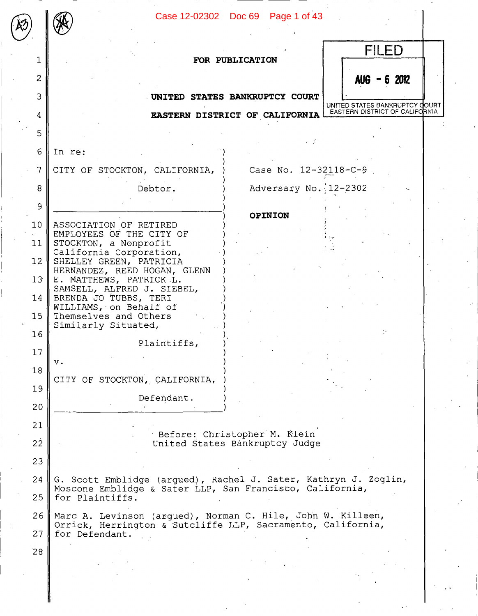|                 |                                                                                                                             | Case 12-02302 Doc 69 Page 1 of 43 |                                                                  |
|-----------------|-----------------------------------------------------------------------------------------------------------------------------|-----------------------------------|------------------------------------------------------------------|
|                 |                                                                                                                             | FOR PUBLICATION                   | FILED                                                            |
| 2               |                                                                                                                             |                                   | $AUG - 6 2012$                                                   |
| 3               |                                                                                                                             | UNITED STATES BANKRUPTCY COURT    |                                                                  |
| 4               |                                                                                                                             | EASTERN DISTRICT OF CALIFORNIA    | UNITED STATES BANKRUPTCY COURT<br>EASTERN DISTRICT OF CALIFORNIA |
| 5               |                                                                                                                             |                                   |                                                                  |
|                 |                                                                                                                             |                                   |                                                                  |
| 6               | In re:                                                                                                                      |                                   |                                                                  |
| $\overline{7}$  | CITY OF STOCKTON, CALIFORNIA,                                                                                               | Case No. 12-32118-C-9             |                                                                  |
| 8               | Debtor.                                                                                                                     | Adversary No. 12-2302             |                                                                  |
| $\overline{9}$  |                                                                                                                             | <b>OPINION</b>                    |                                                                  |
| 10 <sup>°</sup> | ASSOCIATION OF RETIRED<br>EMPLOYEES OF THE CITY OF                                                                          |                                   |                                                                  |
| 11              | STOCKTON, a Nonprofit<br>California Corporation,                                                                            |                                   |                                                                  |
| 12 <sup>2</sup> | SHELLEY GREEN, PATRICIA                                                                                                     |                                   |                                                                  |
| 13 <sup>°</sup> | HERNANDEZ, REED HOGAN, GLENN<br>E. MATTHEWS, PATRICK L.                                                                     |                                   |                                                                  |
| 14              | SAMSELL, ALFRED J. SIEBEL,<br>BRENDA JO TUBBS, TERI                                                                         |                                   |                                                                  |
| 15              | WILLIAMS, on Behalf of<br>Themselves and Others                                                                             |                                   |                                                                  |
| 1.6             | Similarly Situated,                                                                                                         |                                   |                                                                  |
| 17              | Plaintiffs,                                                                                                                 |                                   |                                                                  |
| 18              | $V$ .                                                                                                                       |                                   |                                                                  |
| 19              | CITY OF STOCKTON, CALIFORNIA,                                                                                               |                                   |                                                                  |
| 20              | Defendant.                                                                                                                  |                                   |                                                                  |
| 21              |                                                                                                                             |                                   |                                                                  |
|                 |                                                                                                                             | Before: Christopher M. Klein      |                                                                  |
| 22              |                                                                                                                             | United States Bankruptcy Judge    |                                                                  |
| 23              |                                                                                                                             |                                   |                                                                  |
| 24              | G. Scott Emblidge (argued), Rachel J. Sater, Kathryn J. Zoglin,<br>Moscone Emblidge & Sater LLP, San Francisco, California, |                                   |                                                                  |
| 25              | for Plaintiffs.                                                                                                             |                                   |                                                                  |
| 26              | Marc A. Levinson (argued), Norman C. Hile, John W. Killeen,<br>Orrick, Herrington & Sutcliffe LLP, Sacramento, California,  |                                   |                                                                  |
| 27              | for Defendant.                                                                                                              |                                   |                                                                  |
| 28              |                                                                                                                             |                                   |                                                                  |
|                 |                                                                                                                             |                                   |                                                                  |
|                 |                                                                                                                             |                                   |                                                                  |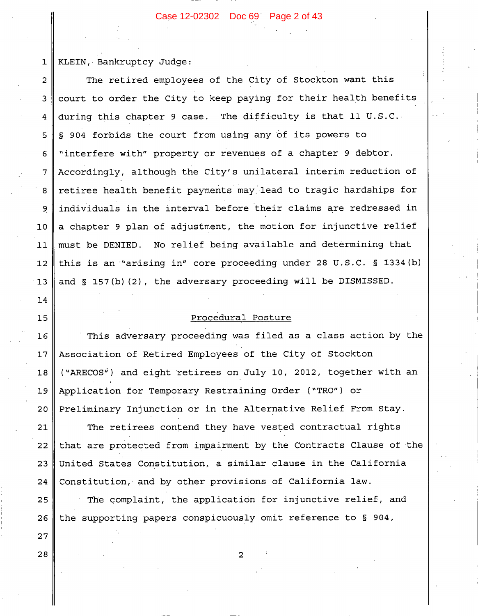#### Case 12-02302 Doc 69 Page 2 of 43

KLEIN, Bankruptcy Judge:  $\mathbf{1}$ 

 $14$ 

15

27

28

The retired employees of the City of Stockton want this  $\overline{2}$ court to order the City to keep paying for their health benefits 3 during this chapter 9 case. The difficulty is that 11 U.S.C. 4 § 904 forbids the court from using any of its powers to 5 "interfere with" property or revenues of a chapter 9 debtor. 6 Accordingly, although the City's unilateral interim reduction of 7 retiree health benefit payments may lead to tragic hardships for 8 individuals in the interval before their claims are redressed in 9 a chapter 9 plan of adjustment, the motion for injunctive relief  $10<sub>1</sub>$ must be DENIED. No relief being available and determining that  $11$ this is an "arising in" core proceeding under 28 U.S.C. § 1334 (b)  $12$ and § 157(b)(2), the adversary proceeding will be DISMISSED.  $13$ 

# Procedural Posture

 $16$ This adversary proceeding was filed as a class action by the Association of Retired Employees of the City of Stockton  $17$ ("ARECOS") and eight retirees on July 10, 2012, together with an  $18$ Application for Temporary Restraining Order ("TRO") or 19 Preliminary Injunction or in the Alternative Relief From Stay. 20

The retirees contend they have vested contractual rights 21 that are protected from impairment by the Contracts Clause of the 22 United States Constitution, a similar clause in the California 23 24 Constitution, and by other provisions of California law. The complaint, the application for injunctive relief, and 25 the supporting papers conspicuously omit reference to § 904, 26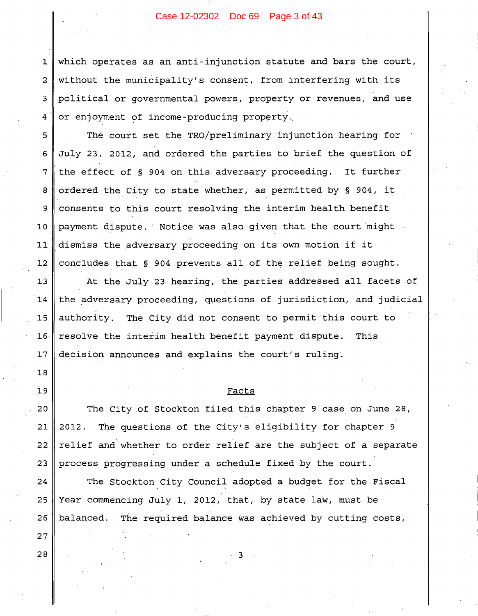which operates as an anti-injunction statute and bars the court, without the municipality's consent, from interfering with its political or governmental powers, property or revenues, and use or enjoyment of income-producing property.

The court set the TRO/preliminary injunction hearing for July 23, 2012, and ordered the parties to brief the question of the effect of § 904 on this adversary proceeding. It further ordered the City to state whether, as permitted by § 904, it consents to this court resolving the interim health benefit payment dispute. Notice was also given that the court might dismiss the adversary proceeding on its own motion if it concludes that § 904 prevents all of the relief being sought.

At the July 23 hearing, the parties addressed all facets of  $13$ the adversary proceeding, questions of jurisdiction, and judicial The City did not consent to permit this court to authority. 16 resolve the interim health benefit payment dispute. This decision announces and explains the court's ruling.

# Facts

 $20$ The City of Stockton filed this chapter 9 case on June 28, The questions of the City's eligibility for chapter 9  $21$ 2012.  $22$ relief and whether to order relief are the subject of a separate 23 process progressing under a schedule fixed by the court.

The Stockton City Council adopted a budget for the Fiscal Year commencing July 1, 2012, that, by state law, must be balanced. The required balance was achieved by cutting costs,

ર

 $27$ 28

24

25

26

 $\mathbf{1}$ 

 $\overline{2}$ 

3

 $\overline{4}$ 

15

 $\epsilon$ 

 $\overline{7}$ 

8

9

 $10$ 

 $11$ 

 $12$ 

14

 $15$ 

 $17$ 

 $18$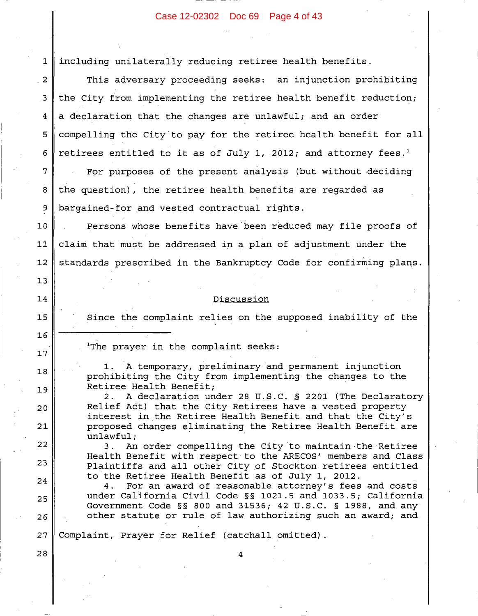# Case 12-02302 Doc 69 Page 4 of 43

1 including unilaterally reducing retiree health benefits.

 $\overline{2}$ This adversary proceeding seeks: an injunction prohibiting the City from implementing the retiree health benefit reduction;  $\cdot$  3 a declaration that the changes are unlawful; and an order 4 5 compelling the City to pay for the retiree health benefit for all retirees entitled to it as of July 1, 2012; and attorney fees.<sup>1</sup> 6 For purposes of the present analysis (but without deciding 7 8 the question), the retiree health benefits are regarded as 9 bargained-for and vested contractual rights.

Persons whose benefits have been reduced may file proofs of  $10$ claim that must be addressed in a plan of adjustment under the  $11$ standards prescribed in the Bankruptcy Code for confirming plans.  $12$ 

# Discussion

Since the complaint relies on the supposed inability of the

<sup>1</sup>The prayer in the complaint seeks:

13

14

 $15$ 

 $16$ 

 $17$ 

18

19

 $20$ 

 $21$ 

22

23

24

25

26

28

A temporary, preliminary and permanent injunction 1. prohibiting the City from implementing the changes to the Retiree Health Benefit;

2. A declaration under 28 U.S.C. § 2201 (The Declaratory Relief Act) that the City Retirees have a vested property interest in the Retiree Health Benefit and that the City's proposed changes eliminating the Retiree Health Benefit are unlawful;

 $3.$ An order compelling the City to maintain the Retiree Health Benefit with respect to the ARECOS' members and Class Plaintiffs and all other City of Stockton retirees entitled to the Retiree Health Benefit as of July 1, 2012.

For an award of reasonable attorney's fees and costs 4. under California Civil Code §§ 1021.5 and 1033.5; California Government Code  $\S$  800 and 31536; 42 U.S.C. § 1988, and any other statute or rule of law authorizing such an award; and

 $27$ Complaint, Prayer for Relief (catchall omitted).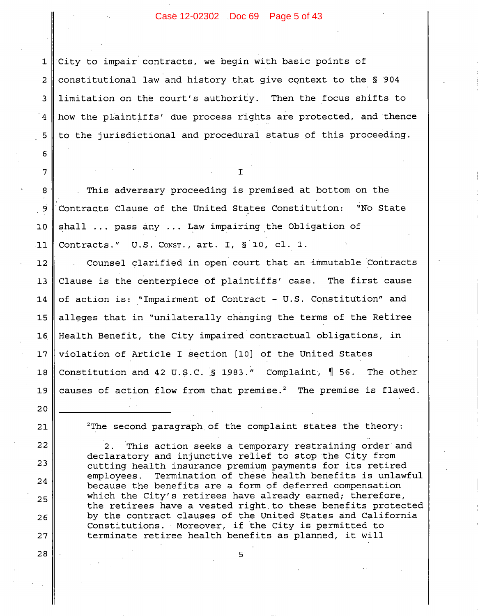Case 12-02302 Doc 69 Page 5 of 43

City to impair contracts, we begin with basic points of  $\mathbf 1$ constitutional law and history that give context to the § 904  $\overline{2}$ limitation on the court's authority. Then the focus shifts to 3 how the plaintiffs' due process rights are protected, and thence 4 to the jurisdictional and procedural status of this proceeding. 5

This adversary proceeding is premised at bottom on the Contracts Clause of the United States Constitution: "No State shall ... pass any ... Law impairing the Obligation of Contracts."  $U.S.$  Const., art. I,  $\S 10$ , cl. 1.

Counsel clarified in open court that an immutable Contracts  $12$ Clause is the centerpiece of plaintiffs' case. The first cause  $13$ of action is: "Impairment of Contract - U.S. Constitution" and 14 alleges that in "unilaterally changing the terms of the Retiree  $15$ Health Benefit, the City impaired contractual obligations, in  $16$ violation of Article I section [10] of the United States  $17$ Constitution and 42 U.S.C. § 1983." Complaint,  $\parallel$  56. The other 18 causes of action flow from that premise.<sup>2</sup> The premise is flawed. 19

21

20

22

23

24

25

26

27

28

6

 $\overline{7}$ 

8

9

 $10$ 

 $11$ 

 $2$ The second paragraph of the complaint states the theory:

 $2.$ This action seeks a temporary restraining order and declaratory and injunctive relief to stop the City from cutting health insurance premium payments for its retired employees. Termination of these health benefits is unlawful because the benefits are a form of deferred compensation which the City's retirees have already earned; therefore, the retirees have a vested right to these benefits protected by the contract clauses of the United States and California Constitutions. Moreover, if the City is permitted to terminate retiree health benefits as planned, it will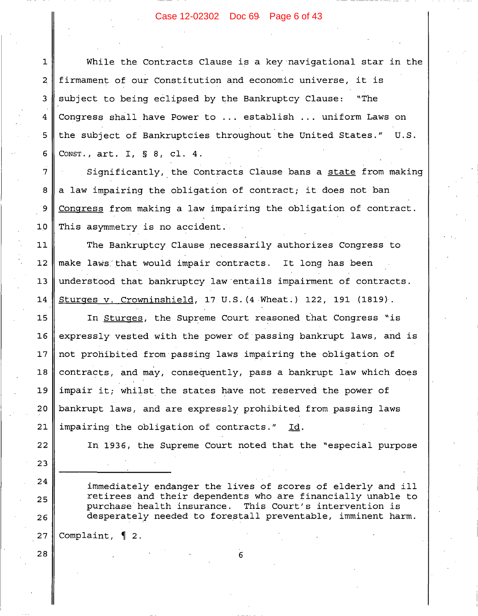# Case 12-02302 Doc 69 Page 6 of 43

While the Contracts Clause is a key navigational star in the  $\mathbf{1}$ firmament of our Constitution and economic universe, it is subject to being eclipsed by the Bankruptcy Clause: "The Congress shall have Power to ... establish ... uniform Laws on the subject of Bankruptcies throughout the United States." U.S. 5 CONST.,  $art. I, S, 8, c1. 4.$ 6

Significantly, the Contracts Clause bans a state from making a law impairing the obligation of contract; it does not ban Congress from making a law impairing the obligation of contract. This asymmetry is no accident.

The Bankruptcy Clause necessarily authorizes Congress to  $11$  $12$ make laws that would impair contracts. It long has been understood that bankruptcy law entails impairment of contracts.  $13$ 14 Sturges v. Crowninshield, 17 U.S. (4 Wheat.) 122, 191 (1819).

In Sturges, the Supreme Court reasoned that Congress "is 15 16 expressly vested with the power of passing bankrupt laws, and is  $17$ not prohibited from passing laws impairing the obligation of  $18$ contracts, and may, consequently, pass a bankrupt law which does impair it; whilst the states have not reserved the power of 19 20 bankrupt laws, and are expressly prohibited from passing laws 21 impairing the obligation of contracts." Id.

In 1936, the Supreme Court noted that the "especial purpose

immediately endanger the lives of scores of elderly and ill retirees and their dependents who are financially unable to purchase health insurance. This Court's intervention is desperately needed to forestall preventable, imminent harm.

27 Complaint,  $\P$  2.

 $\overline{2}$ 

3

4

7

8

9

 $10$ 

22

23

24

25

26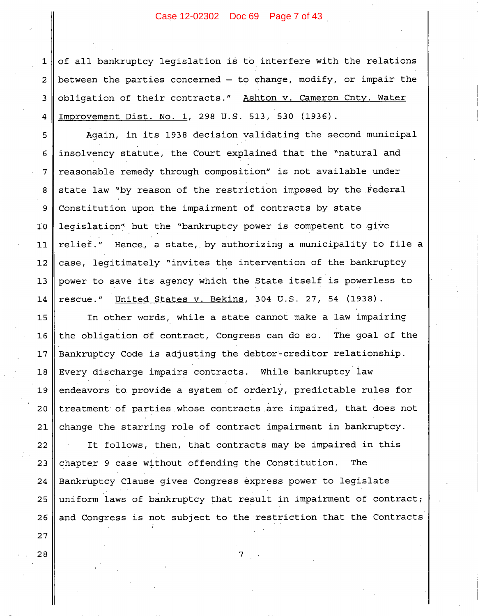Case 12-02302 Doc 69 Page 7 of 43

of all bankruptcy legislation is to interfere with the relations  $\mathbf 1$ between the parties concerned  $-$  to change, modify, or impair the  $\overline{2}$ obligation of their contracts." Ashton v. Cameron Cnty. Water 3 Improvement Dist. No. 1, 298 U.S. 513, 530 (1936). 4

Again, in its 1938 decision validating the second municipal insolvency statute, the Court explained that the "natural and reasonable remedy through composition" is not available under state law "by reason of the restriction imposed by the Federal Constitution upon the impairment of contracts by state legislation" but the "bankruptcy power is competent to give Hence, a state, by authorizing a municipality to file a relief." case, legitimately "invites the intervention of the bankruptcy power to save its agency which the State itself is powerless to rescue." United States v. Bekins, 304 U.S. 27, 54 (1938).

In other words, while a state cannot make a law impairing 15 the obligation of contract, Congress can do so. The goal of the 16 Bankruptcy Code is adjusting the debtor-creditor relationship.  $17$ Every discharge impairs contracts. While bankruptcy law  $18$ endeavors to provide a system of orderly, predictable rules for 19 treatment of parties whose contracts are impaired, that does not  $20$ change the starring role of contract impairment in bankruptcy.  $21$ 

It follows, then, that contracts may be impaired in this 22 chapter 9 case without offending the Constitution. 23 The Bankruptcy Clause gives Congress express power to legislate 24 uniform laws of bankruptcy that result in impairment of contract; 25 26 and Congress is not subject to the restriction that the Contracts

7

28

27

5

6

 $\boldsymbol{7}$ 

8

9

 $10<sup>o</sup>$ 

 $11$ 

 $12$ 

 $13$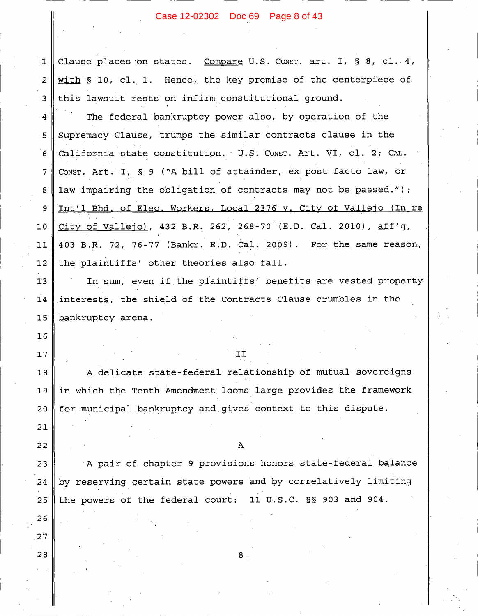# Case 12-02302 Doc 69 Page 8 of 43

| $\mathbf 1$     | Clause places on states. Compare U.S. CONST. art. I, § 8, cl. 4,  |  |  |
|-----------------|-------------------------------------------------------------------|--|--|
| $\overline{2}$  | with § 10, cl. 1. Hence, the key premise of the centerpiece of    |  |  |
| 3               | this lawsuit rests on infirm constitutional ground.               |  |  |
| 4               | The federal bankruptcy power also, by operation of the            |  |  |
| 5               | Supremacy Clause, trumps the similar contracts clause in the      |  |  |
| $6\overline{6}$ | California state constitution. U.S. Const. Art. VI, cl. 2; CAL.   |  |  |
| 7               | CONST. Art. I, § 9 ("A bill of attainder, ex post facto law, or   |  |  |
| 8               | law impairing the obligation of contracts may not be passed.");   |  |  |
| 9               | Int'l Bhd. of Elec. Workers, Local 2376 v. City of Vallejo (In re |  |  |
| 10              | City of Vallejo), 432 B.R. 262, 268-70 (E.D. Cal. 2010), aff'g,   |  |  |
| 11              | 403 B.R. 72, 76-77 (Bankr. E.D. Cal. 2009). For the same reason,  |  |  |
| 12              | the plaintiffs' other theories also fall.                         |  |  |
| 13              | In sum, even if the plaintiffs' benefits are vested property      |  |  |
| 14              | interests, the shield of the Contracts Clause crumbles in the     |  |  |
|                 |                                                                   |  |  |
| 15              | bankruptcy arena.                                                 |  |  |
| 16              |                                                                   |  |  |
| 17              | IJ                                                                |  |  |
| 18              | A delicate state-federal relationship of mutual sovereigns        |  |  |
| 19              | in which the Tenth Amendment looms large provides the framework   |  |  |
| 20              | for municipal bankruptcy and gives context to this dispute.       |  |  |
| 21              |                                                                   |  |  |
| 22              | Α                                                                 |  |  |
| 23              | A pair of chapter 9 provisions honors state-federal balance       |  |  |
| 24              | by reserving certain state powers and by correlatively limiting   |  |  |
| 2.5             | the powers of the federal court:<br>11 U.S.C. §§ 903 and 904.     |  |  |
| 26              |                                                                   |  |  |
| 27              |                                                                   |  |  |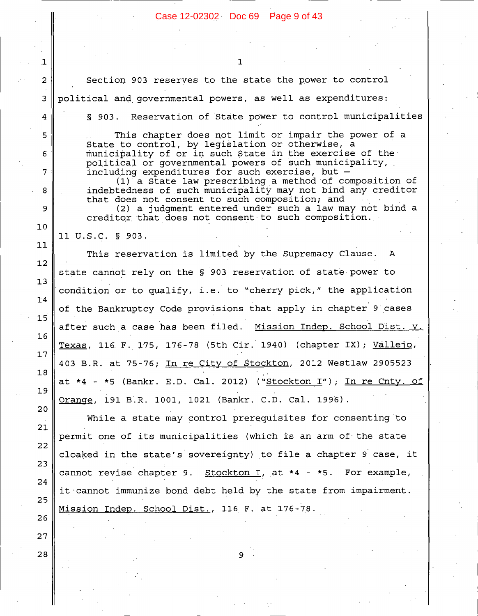Reservation of State power to control municipalities

Section 903 reserves to the state the power to control

political and governmental powers, as well as expenditures:

1

 $\overline{c}$ 

 $\overline{3}$ 

 $\overline{4}$ 

5

6

 $\overline{7}$ 

8

9

 $10$ 

 $11$ 

 $12$ 

 $13$ 

 $14$ 

 $15$ 

 $16$ 

 $17$ 

18

19

20

21

22

23

24

25

26

 $27$ 

28

 $$903.$ 

This chapter does not limit or impair the power of a State to control, by legislation or otherwise, a municipality of or in such State in the exercise of the political or governmental powers of such municipality, including expenditures for such exercise, but -(1) a State law prescribing a method of composition of indebtedness of such municipality may not bind any creditor that does not consent to such composition; and (2) a judgment entered under such a law may not bind a creditor that does not consent to such composition. 11 U.S.C. § 903. This reservation is limited by the Supremacy Clause.  $\mathbf{A}$ state cannot rely on the § 903 reservation of state power to condition or to qualify, i.e. to "cherry pick," the application of the Bankruptcy Code provisions that apply in chapter 9 cases after such a case has been filed. Mission Indep. School Dist. v. Texas, 116 F. 175, 176-78 (5th Cir. 1940) (chapter IX); <u>Vallejo</u>, 403 B.R. at 75-76; In re City of Stockton, 2012 Westlaw 2905523 at \*4 - \*5 (Bankr. E.D. Cal. 2012) ("Stockton I"); In re Cnty. of Orange, 191 B.R. 1001, 1021 (Bankr. C.D. Cal. 1996). While a state may control prerequisites for consenting to permit one of its municipalities (which is an arm of the state cloaked in the state's sovereignty) to file a chapter 9 case, it cannot revise chapter 9. Stockton I, at \*4 - \*5. For example, it cannot immunize bond debt held by the state from impairment. Mission Indep. School Dist., 116 F. at 176-78. 9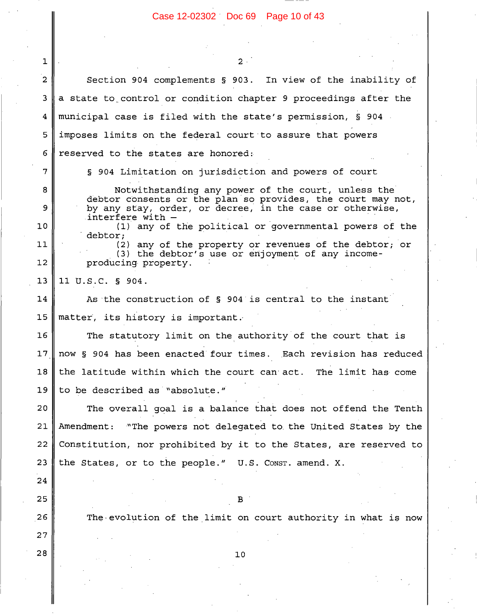In view of the inability of

Section 904 complements § 903.

1

 $\overline{2}$ 

3 a state to control or condition chapter 9 proceedings after the municipal case is filed with the state's permission, § 904 4 imposes limits on the federal court to assure that powers 5 6 reserved to the states are honored: 7 § 904 Limitation on jurisdiction and powers of court Notwithstanding any power of the court, unless the 8 debtor consents or the plan so provides, the court may not, by any stay, order, or decree, in the case or otherwise, 9 interfere with - $10$ (1) any of the political or governmental powers of the debtor;  $11$ (2) any of the property or revenues of the debtor; or (3) the debtor's use or enjoyment of any income- $12$ producing property. 11 U.S.C. § 904.  $13$ 14 As the construction of § 904 is central to the instant  $15$ matter, its history is important. The statutory limit on the authority of the court that is 16  $17$ now § 904 has been enacted four times. Each revision has reduced 18 the latitude within which the court can act. The limit has come 19 to be described as "absolute." 20 The overall goal is a balance that does not offend the Tenth 21 Amendment: "The powers not delegated to the United States by the 22 Constitution, nor prohibited by it to the States, are reserved to 23 the States, or to the people." U.S. CONST. amend. X. 24 25  $\mathbf{B}$ 26 The evolution of the limit on court authority in what is now  $27$ 28 10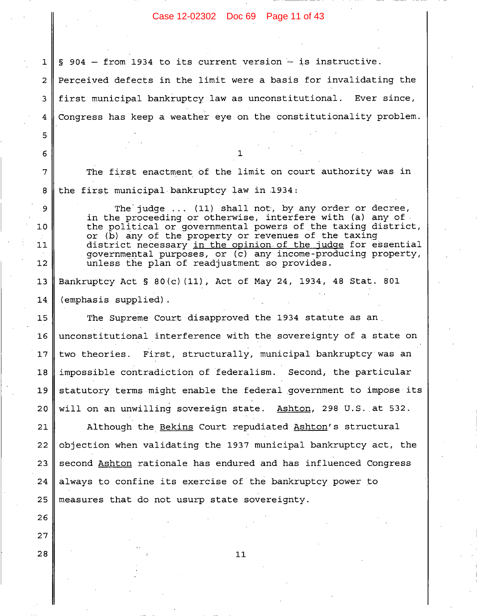Case 12-02302 Doc 69 Page 11 of 43

 $$904$  - from 1934 to its current version - is instructive. Perceived defects in the limit were a basis for invalidating the first municipal bankruptcy law as unconstitutional. Ever since, Congress has keep a weather eye on the constitutionality problem.

 $\mathbf{1}$ 

2

3

4

5

6

7

8

ġ.

 $10$ 

 $11$ 

 $12$ 

26

27

28

The first enactment of the limit on court authority was in the first municipal bankruptcy law in 1934:

1.

The judge  $\dots$  (11) shall not, by any order or decree, in the proceeding or otherwise, interfere with (a) any of the political or governmental powers of the taxing district, or (b) any of the property or revenues of the taxing district necessary in the opinion of the judge for essential governmental purposes, or (c) any income-producing property, unless the plan of readjustment so provides.

Bankruptcy Act § 80(c)(11), Act of May 24, 1934, 48 Stat. 801  $13$ (emphasis supplied). 14

15 The Supreme Court disapproved the 1934 statute as an  $16$ unconstitutional interference with the sovereignty of a state on two theories. First, structurally, municipal bankruptcy was an  $17$ impossible contradiction of federalism. Second, the particular 18 19 statutory terms might enable the federal government to impose its  $20$ will on an unwilling sovereign state. Ashton, 298 U.S. at 532.

Although the Bekins Court repudiated Ashton's structural  $21$ objection when validating the 1937 municipal bankruptcy act, the 22 second Ashton rationale has endured and has influenced Congress 23 always to confine its exercise of the bankruptcy power to 24 25 measures that do not usurp state sovereignty.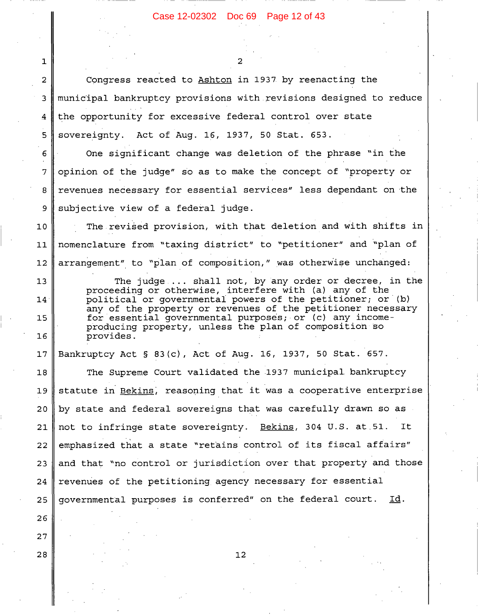# Case 12-02302 Doc 69 Page 12 of 43

っ

Congress reacted to Ashton in 1937 by reenacting the  $\overline{2}$ municipal bankruptcy provisions with revisions designed to reduce 3 the opportunity for excessive federal control over state 4 sovereignty. Act of Aug. 16, 1937, 50 Stat. 653. 5

One significant change was deletion of the phrase "in the opinion of the judge" so as to make the concept of "property or revenues necessary for essential services" less dependant on the subjective view of a federal judge.

The revised provision, with that deletion and with shifts in  $10$ nomenclature from "taxing district" to "petitioner" and "plan of  $11$ arrangement" to "plan of composition," was otherwise unchanged:  $12$ 

The judge ... shall not, by any order or decree, in the proceeding or otherwise, interfere with (a) any of the political or governmental powers of the petitioner; or (b) any of the property or revenues of the petitioner necessary for essential qovernmental purposes; or (c) any incomeproducing property, unless the plan of composition so provides.

Bankruptcy Act § 83(c), Act of Aug. 16, 1937, 50 Stat. 657.  $17$ 

The Supreme Court validated the 1937 municipal bankruptcy 18 statute in Bekins, reasoning that it was a cooperative enterprise 19 by state and federal sovereigns that was carefully drawn so as  $20$ not to infringe state sovereignty. Bekins, 304 U.S. at 51. It. 21 emphasized that a state "retains control of its fiscal affairs" 22 and that "no control or jurisdiction over that property and those 23 24 revenues of the petitioning agency necessary for essential governmental purposes is conferred" on the federal court. Id. 25

26 27

28

 $\mathbf{1}$ 

6

 $\overline{7}$ 

8

9

 $13$ 

14

15

16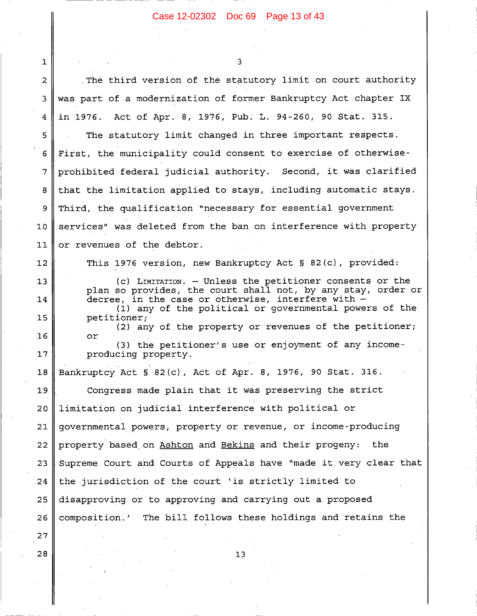#### Case 12-02302 Doc 69 Page 13 of 43

٦

 $\mathbf{1}$ The third version of the statutory limit on court authority 2 was part of a modernization of former Bankruptcy Act chapter IX 3 Act of Apr. 8, 1976, Pub. L. 94-260, 90 Stat. 315.  $\overline{4}$ in 1976. The statutory limit changed in three important respects. 5 First, the municipality could consent to exercise of otherwise-6  $\overline{7}$ prohibited federal judicial authority. Second, it was clarified that the limitation applied to stays, including automatic stays. 8 Third, the qualification "necessary for essential government 9 services" was deleted from the ban on interference with property  $10$  $11$ or revenues of the debtor. This 1976 version, new Bankruptcy Act § 82(c), provided:  $12$ (c) LIMITATION. - Unless the petitioner consents or the  $13$ plan so provides, the court shall not, by any stay, order or decree, in the case or otherwise, interfere with -14 (1) any of the political or governmental powers of the  $15$ petitioner; (2) any of the property or revenues of the petitioner; 16 or (3) the petitioner's use or enjoyment of any income- $17$ producing property. Bankruptcy Act § 82(c), Act of Apr. 8, 1976, 90 Stat. 316. 18 19 Congress made plain that it was preserving the strict  $20$ limitation on judicial interference with political or governmental powers, property or revenue, or income-producing 21 property based on Ashton and Bekins and their progeny: 22 the Supreme Court and Courts of Appeals have "made it very clear that 23 the jurisdiction of the court 'is strictly limited to 24 25 disapproving or to approving and carrying out a proposed composition.' The bill follows these holdings and retains the 26 27

 $13$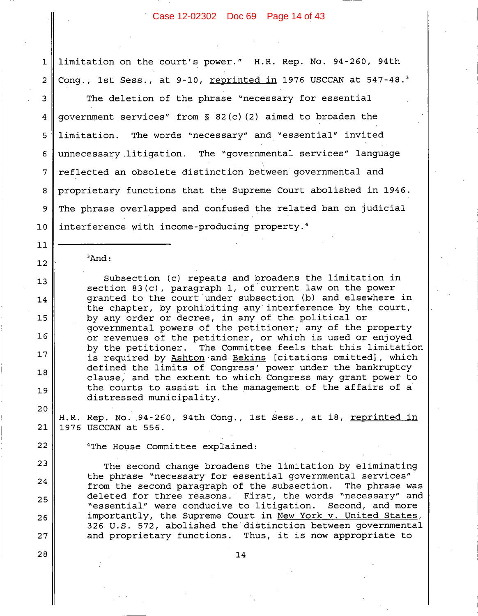#### Case 12-02302 Doc 69 Page 14 of 43

limitation on the court's power." H.R. Rep. No. 94-260, 94th Cong., 1st Sess., at 9-10, reprinted in 1976 USCCAN at 547-48.<sup>3</sup>

3 The deletion of the phrase "necessary for essential qovernment services" from  $\S$  82(c)(2) aimed to broaden the  $\overline{4}$ The words "necessary" and "essential" invited limitation. 5 The "governmental services" language unnecessary litigation. 6 reflected an obsolete distinction between governmental and 7 proprietary functions that the Supreme Court abolished in 1946. 8 The phrase overlapped and confused the related ban on judicial 9 interference with income-producing property.<sup>4</sup>  $10$ 

 $3$ And:

 $\mathbf{1}$ 

 $\overline{2}$ 

 $11$ 

 $12$ 

 $13$ 

14

15

16

 $17$ 

 $18$ 

 $19$ 

20

22

23

24

25

26

 $27$ 

28

Subsection (c) repeats and broadens the limitation in section  $83(c)$ , paragraph 1, of current law on the power granted to the court under subsection (b) and elsewhere in the chapter, by prohibiting any interference by the court, by any order or decree, in any of the political or governmental powers of the petitioner; any of the property or revenues of the petitioner, or which is used or enjoyed by the petitioner. The Committee feels that this limitation is required by Ashton and Bekins [citations omitted], which defined the limits of Congress' power under the bankruptcy clause, and the extent to which Congress may grant power to the courts to assist in the management of the affairs of a distressed municipality.

H.R. Rep. No. 94-260, 94th Cong., 1st Sess., at 18, reprinted in 21 1976 USCCAN at 556.

<sup>4</sup>The House Committee explained:

The second change broadens the limitation by eliminating the phrase "necessary for essential governmental services" from the second paragraph of the subsection. The phrase was deleted for three reasons. First, the words "necessary" and Second, and more "essential" were conducive to litigation. importantly, the Supreme Court in <u>New York v. United States</u>, 326 U.S. 572, abolished the distinction between governmental and proprietary functions. Thus, it is now appropriate to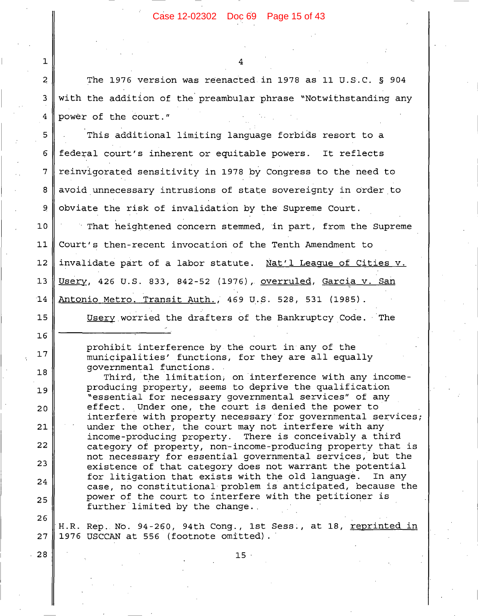Case 12-02302 Doc 69 Page 15 of 43

The 1976 version was reenacted in 1978 as 11 U.S.C. § 904 with the addition of the preambular phrase "Notwithstanding any power of the court."

5 This additional limiting language forbids resort to a 6 federal court's inherent or equitable powers. It reflects 7 reinvigorated sensitivity in 1978 by Congress to the need to 8 avoid unnecessary intrusions of state sovereignty in order to obviate the risk of invalidation by the Supreme Court. 9

 $10$ That heightened concern stemmed, in part, from the Supreme Court's then-recent invocation of the Tenth Amendment to  $11$  $12$ invalidate part of a labor statute. Nat'l League of Cities v. Usery, 426 U.S. 833, 842-52 (1976), overruled, Garcia v. San  $13$  $14$ Antonio Metro. Transit Auth., 469 U.S. 528, 531 (1985).

Usery worried the drafters of the Bankruptcy Code. The

prohibit interference by the court in any of the municipalities' functions, for they are all equally governmental functions.

Third, the limitation, on interference with any incomeproducing property, seems to deprive the qualification "essential for necessary governmental services" of any effect. Under one, the court is denied the power to interfere with property necessary for governmental services; under the other, the court may not interfere with any income-producing property. There is conceivably a third category of property, non-income-producing property that is not necessary for essential governmental services, but the existence of that category does not warrant the potential for litigation that exists with the old language. In any case, no constitutional problem is anticipated, because the power of the court to interfere with the petitioner is further limited by the change.

26 H.R. Rep. No. 94-260, 94th Cong., 1st Sess., at 18, reprinted in 27 1976 USCCAN at 556 (footnote omitted).

 $15 -$ 

28

 $\mathbf 1$ 

 $\overline{a}$ 

3

4

15

16

 $17$ 

 $18$ 

 $19$ 

 $20$ 

 $21$ 

22

23

24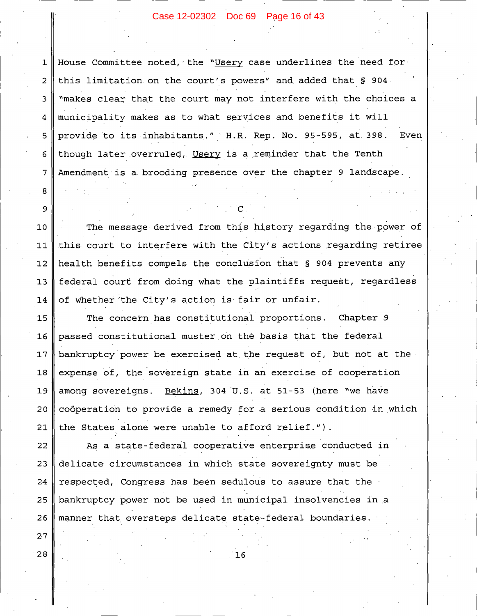#### Case 12-02302 Doc 69 Page 16 of 43

House Committee noted, the "Usery case underlines the need for  $\mathbf 1$ this limitation on the court's powers" and added that § 904. "makes clear that the court may not interfere with the choices a municipality makes as to what services and benefits it will provide to its inhabitants." H.R. Rep. No. 95-595, at 398. Even 5 though later overruled, Usery is a reminder that the Tenth 6 Amendment is a brooding presence over the chapter 9 landscape.

 $\overline{2}$ 

3

4

7

8

9

 $27$ 

28

The message derived from this history regarding the power of  $10$ this court to interfere with the City's actions regarding retiree  $11$ health benefits compels the conclusion that § 904 prevents any  $12$  $13$ federal court from doing what the plaintiffs request, regardless of whether the City's action is fair or unfair. 14

The concern has constitutional proportions. Chapter 9 15 passed constitutional muster on the basis that the federal 16 bankruptcy power be exercised at the request of, but not at the  $17$ expense of, the sovereign state in an exercise of cooperation 18 Bekins, 304 U.S. at 51-53 (here "we have 19 among sovereigns. coöperation to provide a remedy for a serious condition in which  $20$ 21 the States alone were unable to afford relief.").

As a state-federal cooperative enterprise conducted in 22 delicate circumstances in which state sovereignty must be 23 24 respected, Congress has been sedulous to assure that the 25 bankruptcy power not be used in municipal insolvencies in a manner that oversteps delicate state-federal boundaries. 26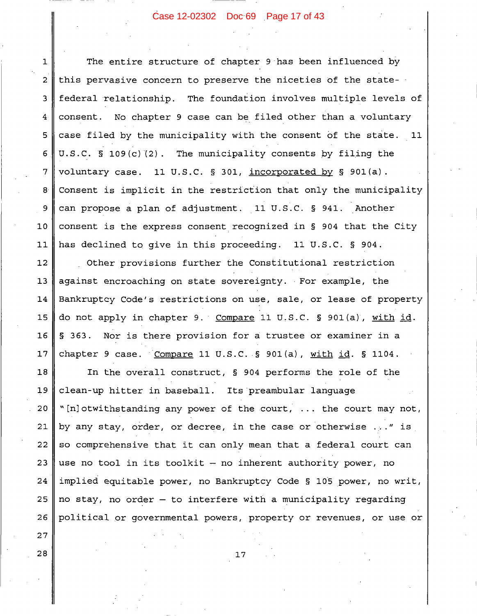# Case 12-02302 Doc 69 Page 17 of 43

The entire structure of chapter 9 has been influenced by  $\mathbf{1}$ this pervasive concern to preserve the niceties of the state- $\overline{2}$ federal relationship. The foundation involves multiple levels of 3 consent. No chapter 9 case can be filed other than a voluntary 4 case filed by the municipality with the consent of the state. 11 5 U.S.C. § 109 $(c)$  (2). The municipality consents by filing the 6 7 voluntary case. 11 U.S.C. § 301, incorporated by § 901(a). Consent is implicit in the restriction that only the municipality  $8$ can propose a plan of adjustment. 11 U.S.C. § 941. Another 9  $10$ consent is the express consent recognized in § 904 that the City  $11$ has declined to give in this proceeding. 11 U.S.C. § 904.  $12$ Other provisions further the Constitutional restriction against encroaching on state sovereignty. For example, the  $13$ Bankruptcy Code's restrictions on use, sale, or lease of property 14  $15$ do not apply in chapter 9. Compare 11 U.S.C. § 901(a), with id. 16 § 363. Nor is there provision for a trustee or examiner in a  $17$ chapter 9 case. Compare 11 U.S.C. § 901(a), with id. § 1104.  $18$ In the overall construct, § 904 performs the role of the 19 clean-up hitter in baseball. Its preambular language 20 "[n]otwithstanding any power of the court, ... the court may not, by any stay, order, or decree, in the case or otherwise ..." is 21

22 so comprehensive that it can only mean that a federal court can 23 use no tool in its toolkit - no inherent authority power, no 24 implied equitable power, no Bankruptcy Code § 105 power, no writ, 25 no stay, no order - to interfere with a municipality regarding political or governmental powers, property or revenues, or use or 26

 $17$ 

28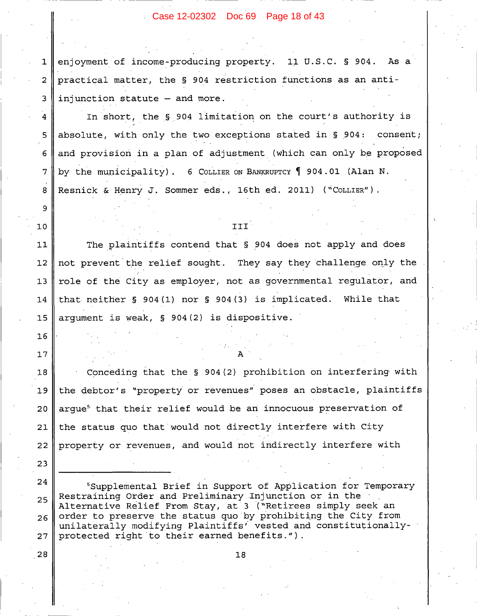# Case 12-02302 Doc 69 Page 18 of 43

enjoyment of income-producing property. 11 U.S.C. § 904. As a practical matter, the § 904 restriction functions as an antiinjunction statute - and more.

In short, the § 904 limitation on the court's authority is absolute, with only the two exceptions stated in § 904: consent; and provision in a plan of adjustment (which can only be proposed by the municipality). 6 COLLIER ON BANKRUPTCY 1904.01 (Alan N. Resnick & Henry J. Sommer eds., 16th ed. 2011) ("COLLIER").

#### III

The plaintiffs contend that § 904 does not apply and does  $11$  $12$ not prevent the relief sought. They say they challenge only the role of the City as employer, not as governmental regulator, and  $13$ that neither  $\S$  904(1) nor  $\S$  904(3) is implicated. While that 14 arqument is weak, § 904(2) is dispositive.  $15$ 

Conceding that the § 904(2) prohibition on interfering with  $18$ the debtor's "property or revenues" poses an obstacle, plaintiffs 19  $20$ arque<sup>5</sup> that their relief would be an innocuous preservation of the status quo that would not directly interfere with City 21 property or revenues, and would not indirectly interfere with 22

24 <sup>5</sup>Supplemental Brief in Support of Application for Temporary Restraining Order and Preliminary Injunction or in the 25 Alternative Relief From Stay, at 3 ("Retirees simply seek an order to preserve the status quo by prohibiting the City from 26 unilaterally modifying Plaintiffs' vested and constitutionallyprotected right to their earned benefits."). 27

18

28

23

 $\mathbf{1}$ 

 $\overline{2}$ 

 $\overline{\mathbf{3}}$ 

4

5

6

 $\overline{7}$ 

8

9

 $10$ 

 $16$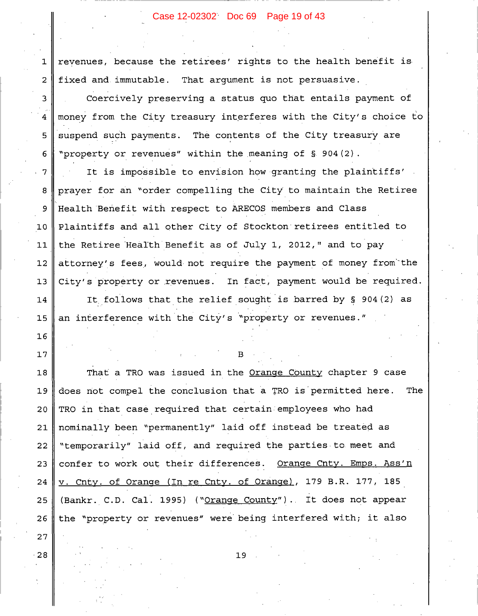# Case 12-02302 Doc 69 Page 19 of 43

revenues, because the retirees' rights to the health benefit is fixed and immutable. That argument is not persuasive.

 $\mathbf 1$ 

 $\overline{2}$ 

3

4

5

6

16

 $17$ 

 $27$ 

28

Coercively preserving a status quo that entails payment of money from the City treasury interferes with the City's choice to suspend such payments. The contents of the City treasury are "property or revenues" within the meaning of § 904(2).

It is impossible to envision how granting the plaintiffs'  $\overline{7}$ prayer for an "order compelling the City to maintain the Retiree 8 Health Benefit with respect to ARECOS members and Class 9 Plaintiffs and all other City of Stockton retirees entitled to  $10$ the Retiree Health Benefit as of July 1, 2012," and to pay  $11$  $12$ attorney's fees, would not require the payment of money from the City's property or revenues. In fact, payment would be required.  $13$ It follows that the relief sought is barred by § 904(2) as 14 an interference with the City's "property or revenues." 15

R

That a TRO was issued in the Orange County chapter 9 case 18 19 does not compel the conclusion that a TRO is permitted here. **The** 20 TRO in that case required that certain employees who had nominally been "permanently" laid off instead be treated as 21 "temporarily" laid off, and required the parties to meet and 22 confer to work out their differences. Orange Cnty. Emps. Ass'n 23 v. Cnty. of Orange (In re Cnty. of Orange), 179 B.R. 177, 185 24 (Bankr. C.D. Cal. 1995) ("Orange County"). It does not appear 25 the "property or revenues" were being interfered with; it also 26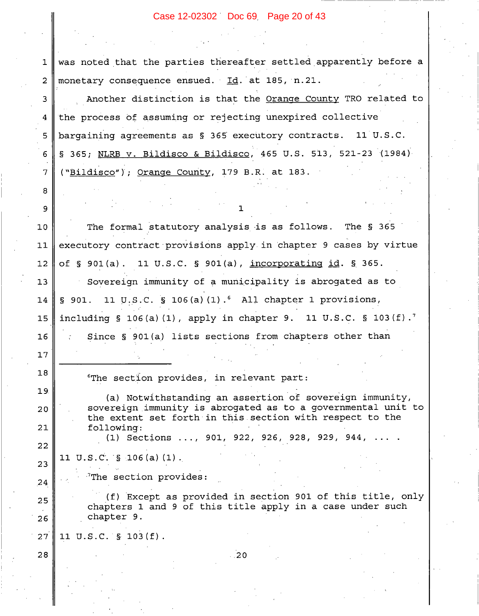# Case 12-02302 Doc 69 Page 20 of 43

|                | Case 12-02302 Doc 69 Page 20 of 43                                                                                       |  |  |
|----------------|--------------------------------------------------------------------------------------------------------------------------|--|--|
|                |                                                                                                                          |  |  |
|                |                                                                                                                          |  |  |
| 1              | was noted that the parties thereafter settled apparently before a                                                        |  |  |
| $\overline{2}$ | monetary consequence ensued. Id. at 185, n.21.                                                                           |  |  |
| 3              | Another distinction is that the Orange County TRO related to                                                             |  |  |
| 4              | the process of assuming or rejecting unexpired collective                                                                |  |  |
| 5              | bargaining agreements as § 365 executory contracts. 11 U.S.C.                                                            |  |  |
| 6              | § 365; NLRB v. Bildisco & Bildisco, 465 U.S. 513, 521-23 (1984)                                                          |  |  |
| 7              | ("Bildisco"); Orange County, 179 B.R. at 183.                                                                            |  |  |
| 8              |                                                                                                                          |  |  |
| 9              |                                                                                                                          |  |  |
| 10             | The formal statutory analysis is as follows. The § 365                                                                   |  |  |
| 11             | executory contract provisions apply in chapter 9 cases by virtue                                                         |  |  |
| 12             | of § 901(a). 11 U.S.C. § 901(a), incorporating id. § 365.                                                                |  |  |
| 13             | Sovereign immunity of a municipality is abrogated as to                                                                  |  |  |
| 14             | $\S$ 901. 11 U.S.C. $\S$ 106(a)(1). All chapter 1 provisions,                                                            |  |  |
| 15             | including § 106(a)(1), apply in chapter 9. 11 U.S.C. § 103(f). <sup>7</sup>                                              |  |  |
| 16             | Since § 901(a) lists sections from chapters other than                                                                   |  |  |
| 17             |                                                                                                                          |  |  |
| 18             | "The section provides, in relevant part:                                                                                 |  |  |
| 19             | (a) Notwithstanding an assertion of sovereign immunity,                                                                  |  |  |
| 20             | sovereign immunity is abrogated as to a governmental unit to<br>the extent set forth in this section with respect to the |  |  |
| 21             | following:                                                                                                               |  |  |
| 22             | (1) Sections , 901, 922, 926, 928, 929, 944,                                                                             |  |  |
| 23             | 11 U.S.C. $\S$ 106(a)(1).                                                                                                |  |  |
| 24             | <sup>7</sup> The section provides:                                                                                       |  |  |
| 25             | (f) Except as provided in section 901 of this title, only<br>chapters 1 and 9 of this title apply in a case under such   |  |  |
| 26             | chapter 9.                                                                                                               |  |  |
| 27             | 11 U.S.C. § 103(f).                                                                                                      |  |  |
| 28             | $-20$                                                                                                                    |  |  |
|                |                                                                                                                          |  |  |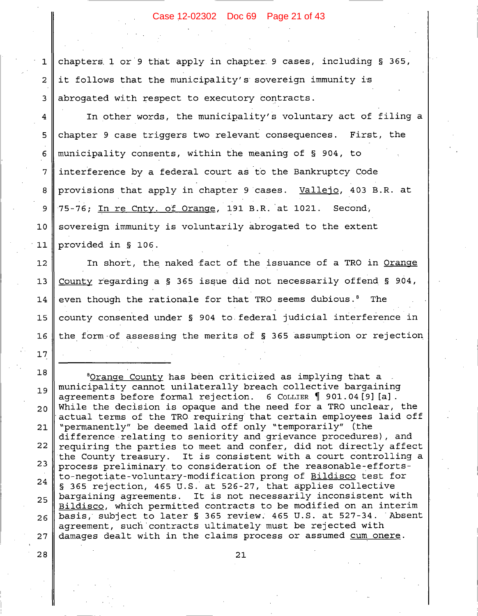# Case 12-02302 Doc 69 Page 21 of 43

chapters 1 or 9 that apply in chapter 9 cases, including § 365,  $\mathbf{1}$ it follows that the municipality's sovereign immunity is abrogated with respect to executory contracts.

 $\overline{2}$ 

 $\overline{3}$ 

 $\overline{\mathbf{4}}$ 

5

6

 $\overline{7}$ 

8

9

 $10$ 

 $11$ 

 $12$ 

 $13$ 

14

15

16

 $17$ 

28

In other words, the municipality's voluntary act of filing a chapter 9 case triggers two relevant consequences. First, the municipality consents, within the meaning of § 904, to interference by a federal court as to the Bankruptcy Code provisions that apply in chapter 9 cases. Vallejo, 403 B.R. at 75-76; In re Cnty. of Orange, 191 B.R. at 1021. Second, sovereign immunity is voluntarily abrogated to the extent provided in § 106.

In short, the naked fact of the issuance of a TRO in Orange County regarding a  $\S$  365 issue did not necessarily offend  $\S$  904, even though the rationale for that TRO seems dubious.<sup>8</sup> The county consented under § 904 to federal judicial interference in the form of assessing the merits of § 365 assumption or rejection

18 <sup>8</sup>Orange County has been criticized as implying that a municipality cannot unilaterally breach collective bargaining 19 agreements before formal rejection. 6 COLLIER  $\parallel$  901.04 [9] [a]. While the decision is opaque and the need for a TRO unclear, the  $20$ actual terms of the TRO requiring that certain employees laid off "permanently" be deemed laid off only "temporarily" (the 21 difference relating to seniority and grievance procedures), and 22 requiring the parties to meet and confer, did not directly affect It is consistent with a court controlling a the County treasury. 23 process preliminary to consideration of the reasonable-effortsto-negotiate-voluntary-modification prong of Bildisco test for 24 § 365 rejection, 465 U.S. at 526-27, that applies collective bargaining agreements. It is not necessarily inconsistent with 25 Bildisco, which permitted contracts to be modified on an interim basis, subject to later § 365 review. 465 U.S. at 527-34. Absent 26 agreement, such contracts ultimately must be rejected with damages dealt with in the claims process or assumed cum onere. 27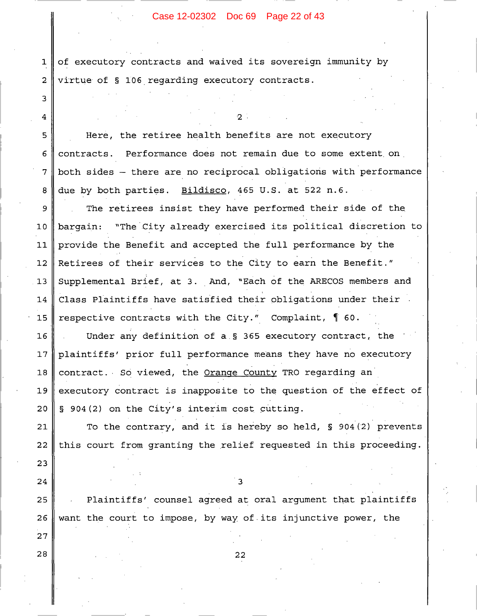# Case 12-02302 Doc 69 Page 22 of 43

of executory contracts and waived its sovereign immunity by  $\mathbf 1$ virtue of § 106 regarding executory contracts.  $\overline{2}$ 

3

 $\overline{\mathbf{4}}$ 

5

6

 $\overline{7}$ 

8

23

24

25

26

27

28

Here, the retiree health benefits are not executory contracts. Performance does not remain due to some extent on both sides - there are no reciprocal obligations with performance due by both parties. Bildisco, 465 U.S. at 522 n.6.

О.

The retirees insist they have performed their side of the 9 "The City already exercised its political discretion to  $10$ bargain: provide the Benefit and accepted the full performance by the  $11$ Retirees of their services to the City to earn the Benefit."  $12$ Supplemental Brief, at 3. And, "Each of the ARECOS members and  $13$ Class Plaintiffs have satisfied their obligations under their 14 respective contracts with the City." Complaint,  $\int$  60. 15

16 Under any definition of a  $\S$  365 executory contract, the plaintiffs' prior full performance means they have no executory  $17$ contract. So viewed, the Orange County TRO regarding an 18 executory contract is inapposite to the question of the effect of 19 20 § 904(2) on the City's interim cost cutting.

21 To the contrary, and it is hereby so held, § 904(2) prevents this court from granting the relief requested in this proceeding. 22

 $\mathbf{3}$ 

Plaintiffs' counsel agreed at oral argument that plaintiffs want the court to impose, by way of its injunctive power, the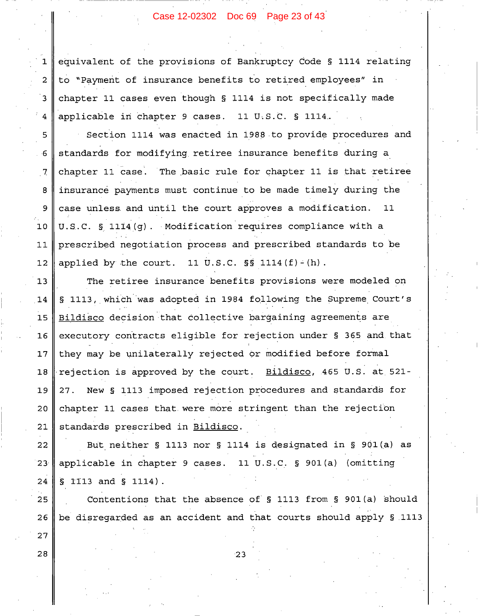# Case 12-02302 Doc 69 Page 23 of 43

equivalent of the provisions of Bankruptcy Code § 1114 relating to "Payment of insurance benefits to retired employees" in chapter 11 cases even though § 1114 is not specifically made applicable in chapter 9 cases. 11 U.S.C. § 1114.

 $\mathbf{1}$ 

 $\overline{2}$ 

 $\overline{3}$ 

 $\overline{4}$ 

5

 $6\overline{6}$ 

 $7<sub>l</sub>$ 

8

9

 $10$ 

 $11$ 

 $12$ 

25

26

27

28

Section 1114 was enacted in 1988 to provide procedures and standards for modifying retiree insurance benefits during a chapter 11 case. The basic rule for chapter 11 is that retiree insurance payments must continue to be made timely during the case unless and until the court approves a modification.  $11$ U.S.C. § 1114(g). Modification requires compliance with a prescribed negotiation process and prescribed standards to be applied by the court. 11 U.S.C.  $\S$ S 1114(f)-(h).

The retiree insurance benefits provisions were modeled on  $13$  $14$ § 1113, which was adopted in 1984 following the Supreme Court's Bildisco decision that collective bargaining agreements are 15 executory contracts eligible for rejection under § 365 and that  $16$ they may be unilaterally rejected or modified before formal  $17$ rejection is approved by the court. Bildisco, 465 U.S. at 521- $18$ New § 1113 imposed rejection procedures and standards for 19 27. chapter 11 cases that were more stringent than the rejection 20 standards prescribed in Bildisco. 21

22 But neither § 1113 nor § 1114 is designated in § 901(a) as applicable in chapter 9 cases. 11 U.S.C. § 901(a) (omitting  $23<sup>2</sup>$  $\S$  1113 and  $\S$  1114).  $2.4$ 

Contentions that the absence of  $\S$  1113 from  $\S$  901(a) should be disregarded as an accident and that courts should apply § 1113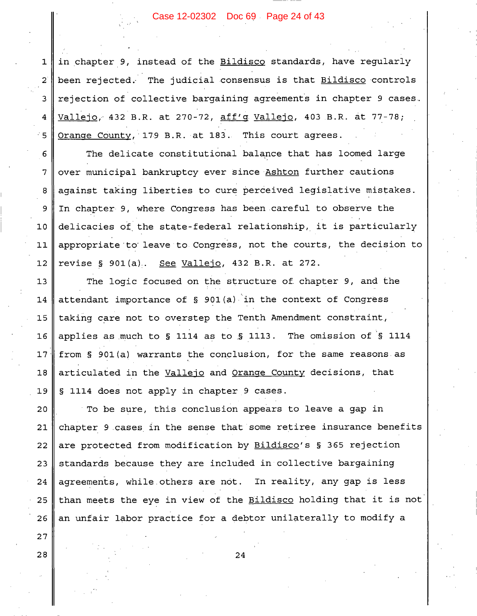# Case 12-02302 Doc 69 Page 24 of 43

in chapter 9, instead of the Bildisco standards, have reqularly been rejected. The judicial consensus is that Bildisco controls rejection of collective bargaining agreements in chapter 9 cases. Vallejo, 432 B.R. at 270-72, aff'g Vallejo, 403 B.R. at 77-78; Orange County, 179 B.R. at 183. This court agrees.

 $\mathbf{1}$ 

 $2^{i}$ 

 $\overline{3}$ 

 $\overline{4}$ 

- 5

 $27$ 

28

The delicate constitutional balance that has loomed large 6 over municipal bankruptcy ever since Ashton further cautions  $\overline{7}$ against taking liberties to cure perceived legislative mistakes. 8 In chapter 9, where Congress has been careful to observe the 9 delicacies of the state-federal relationship, it is particularly  $10$ appropriate to leave to Congress, not the courts, the decision to  $11$ revise § 901(a). See Vallejo, 432 B.R. at 272.  $12$ 

The logic focused on the structure of chapter 9, and the  $13$ attendant importance of § 901(a) in the context of Congress 14 taking care not to overstep the Tenth Amendment constraint,  $15$ applies as much to § 1114 as to § 1113. The omission of § 1114  $16$ from § 901(a) warrants the conclusion, for the same reasons as  $17$ articulated in the Vallejo and Orange County decisions, that 18 19 § 1114 does not apply in chapter 9 cases.

To be sure, this conclusion appears to leave a gap in  $20$ chapter 9 cases in the sense that some retiree insurance benefits 21 are protected from modification by Bildisco's § 365 rejection 22 standards because they are included in collective bargaining 23 24 agreements, while others are not. In reality, any gap is less 25 than meets the eye in view of the Bildisco holding that it is not an unfair labor practice for a debtor unilaterally to modify a 26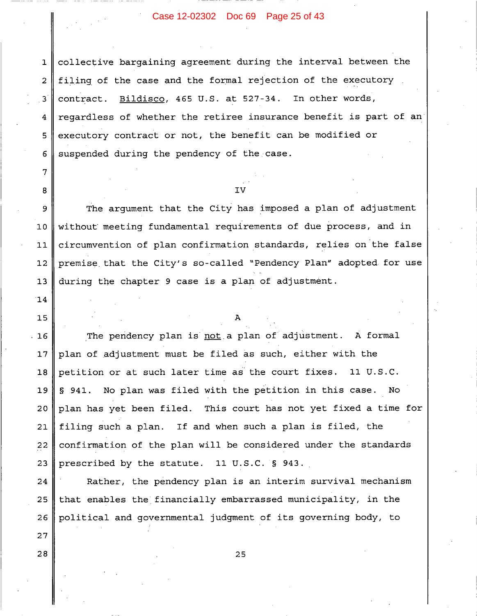# Case 12-02302 Doc 69 Page 25 of 43

collective bargaining agreement during the interval between the  $\mathbf{1}$ filing of the case and the formal rejection of the executory  $\overline{2}$ Bildisco, 465 U.S. at 527-34. In other words, 3 contract. regardless of whether the retiree insurance benefit is part of an 4 executory contract or not, the benefit can be modified or 5 suspended during the pendency of the case. 6

# τ٦

 $\overline{7}$ 

8

14

15

 $27$ 

28

The argument that the City has imposed a plan of adjustment 9 without meeting fundamental requirements of due process, and in  $10$  $11$ circumvention of plan confirmation standards, relies on the false premise that the City's so-called "Pendency Plan" adopted for use  $12$ during the chapter 9 case is a plan of adjustment.  $13$ 

 $16$ The pendency plan is not a plan of adjustment. A formal  $17$ plan of adjustment must be filed as such, either with the petition or at such later time as the court fixes. 11 U.S.C. 18 § 941. No plan was filed with the petition in this case. 19 No.  $20$ plan has yet been filed. This court has not yet fixed a time for filing such a plan. If and when such a plan is filed, the  $21$ confirmation of the plan will be considered under the standards 22 23 prescribed by the statute. 11 U.S.C. § 943.

Rather, the pendency plan is an interim survival mechanism 24 25 that enables the financially embarrassed municipality, in the 26 political and governmental judgment of its governing body, to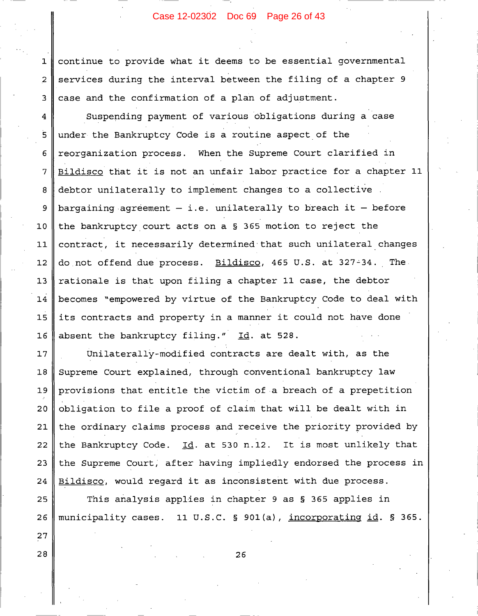# Case 12-02302 Doc 69 Page 26 of 43

continue to provide what it deems to be essential governmental services during the interval between the filing of a chapter 9 case and the confirmation of a plan of adjustment.

Suspending payment of various obligations during a case 4  $\overline{5}$ under the Bankruptcy Code is a routine aspect of the reorganization process. When the Supreme Court clarified in 6 Bildisco that it is not an unfair labor practice for a chapter 11  $\overline{7}$ 8 debtor unilaterally to implement changes to a collective bargaining agreement  $-$  i.e. unilaterally to breach it  $-$  before 9  $10$ the bankruptcy court acts on a § 365 motion to reject the contract, it necessarily determined that such unilateral changes  $11$ do not offend due process. Bildisco, 465 U.S. at 327-34. The  $12$ rationale is that upon filing a chapter 11 case, the debtor  $13$ 14 becomes "empowered by virtue of the Bankruptcy Code to deal with its contracts and property in a manner it could not have done  $15$  $16$ absent the bankruptcy filing." Id. at 528.

Unilaterally-modified contracts are dealt with, as the  $17$ Supreme Court explained, through conventional bankruptcy law 18 provisions that entitle the victim of a breach of a prepetition 19 20 obligation to file a proof of claim that will be dealt with in the ordinary claims process and receive the priority provided by  $21$ the Bankruptcy Code. Id. at 530 n.12. It is most unlikely that 22 the Supreme Court, after having impliedly endorsed the process in 23 24 Bildisco, would regard it as inconsistent with due process.

25 This analysis applies in chapter 9 as § 365 applies in 26 municipality cases. 11 U.S.C. § 901(a), incorporating id. § 365.

28

27

 $\mathbf 1$ 

 $\overline{2}$ 

3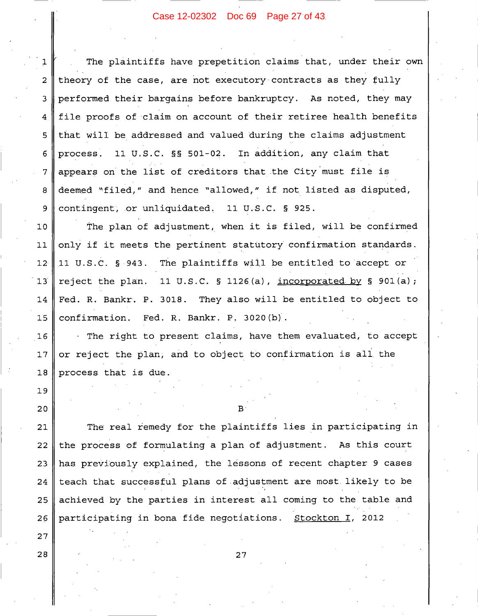# Case 12-02302 Doc 69 Page 27 of 43

The plaintiffs have prepetition claims that, under their own  $\mathbf 1$ theory of the case, are not executory contracts as they fully  $\overline{2}$ performed their bargains before bankruptcy. As noted, they may 3 file proofs of claim on account of their retiree health benefits  $\overline{4}$ that will be addressed and valued during the claims adjustment 5 11 U.S.C. §§ 501-02. In addition, any claim that process. 6 appears on the list of creditors that the City must file is  $\overline{7}$ deemed "filed," and hence "allowed," if not listed as disputed, 8 contingent, or unliquidated. 11 U.S.C. § 925. 9

 $10$ The plan of adjustment, when it is filed, will be confirmed only if it meets the pertinent statutory confirmation standards.  $11$ The plaintiffs will be entitled to accept or  $12<sup>°</sup>$ 11 U.S.C. § 943. 11 U.S.C.  $\S$  1126(a), incorporated by  $\S$  901(a);  $13$ reject the plan. Fed. R. Bankr. P. 3018. They also will be entitled to object to 14 confirmation. Fed. R. Bankr. P. 3020(b). 15

The right to present claims, have them evaluated, to accept or reject the plan, and to object to confirmation is all the process that is due.

 $16$ 

 $17$ 

18

19

20

27

28

 $\mathbf{p}$ 

The real remedy for the plaintiffs lies in participating in 21 the process of formulating a plan of adjustment. As this court 22 has previously explained, the lessons of recent chapter 9 cases 23 24 teach that successful plans of adjustment are most likely to be 25 achieved by the parties in interest all coming to the table and participating in bona fide negotiations. Stockton I, 2012 26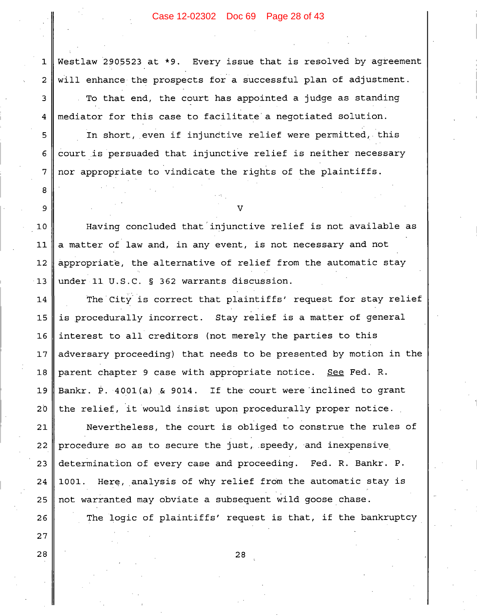# Case 12-02302 Doc 69 Page 28 of 43

Westlaw 2905523 at \*9. Every issue that is resolved by agreement  $\mathbf{1}$ will enhance the prospects for a successful plan of adjustment.  $\overline{2}$ To that end, the court has appointed a judge as standing 3 mediator for this case to facilitate a negotiated solution. 4

In short, even if injunctive relief were permitted, this court is persuaded that injunctive relief is neither necessary nor appropriate to vindicate the rights of the plaintiffs.

5

6

 $\overline{7}$ 

8

9

26

27

28

Having concluded that injunctive relief is not available as  $10$ a matter of law and, in any event, is not necessary and not  $11$ appropriate, the alternative of relief from the automatic stay  $12$ under 11 U.S.C. § 362 warrants discussion.  $13$ 

The City is correct that plaintiffs' request for stay relief 14 is procedurally incorrect. Stay relief is a matter of general 15 16 interest to all creditors (not merely the parties to this adversary proceeding) that needs to be presented by motion in the  $17$ parent chapter 9 case with appropriate notice. See Fed. R.  $18$ Bankr. P. 4001(a) & 9014. If the court were inclined to grant 19  $20$ the relief, it would insist upon procedurally proper notice.

Nevertheless, the court is obliged to construe the rules of 21 procedure so as to secure the just, speedy, and inexpensive 22 determination of every case and proceeding. Fed. R. Bankr. P. 23 24 1001. Here, analysis of why relief from the automatic stay is not warranted may obviate a subsequent wild goose chase. 25

The logic of plaintiffs' request is that, if the bankruptcy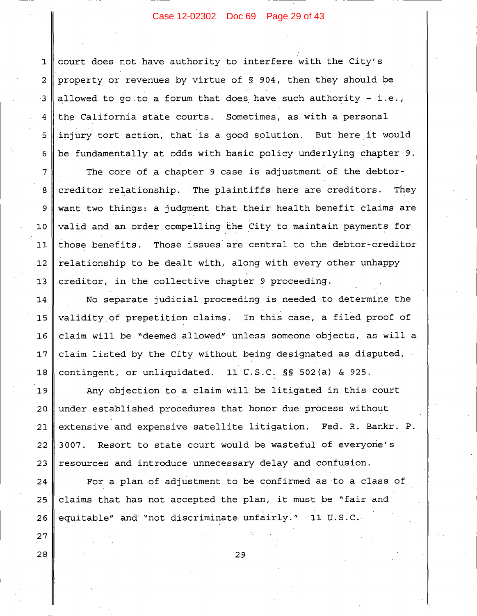# Case 12-02302 Doc 69 Page 29 of 43

court does not have authority to interfere with the City's  $\mathbf{1}$ property or revenues by virtue of § 904, then they should be allowed to go to a forum that does have such authority - i.e., the California state courts. Sometimes, as with a personal injury tort action, that is a good solution. But here it would be fundamentally at odds with basic policy underlying chapter 9.

2

 $\cdot$  3

 $\overline{4}$ 

5

6

 $\overline{7}$ 

8

9

 $10$ 

 $11$ 

 $12$ 

 $13$ 

27

28

The core of a chapter 9 case is adjustment of the debtorcreditor relationship. The plaintiffs here are creditors. They want two things: a judgment that their health benefit claims are valid and an order compelling the City to maintain payments for those benefits. Those issues are central to the debtor-creditor relationship to be dealt with, along with every other unhappy creditor, in the collective chapter 9 proceeding.

No separate judicial proceeding is needed to determine the 14 validity of prepetition claims. In this case, a filed proof of  $15$  $16$ claim will be "deemed allowed" unless someone objects, as will a claim listed by the City without being designated as disputed,  $17$ 11 U.S.C. §§ 502(a) & 925. contingent, or unliquidated.  $18$ 

Any objection to a claim will be litigated in this court 19  $20$ under established procedures that honor due process without extensive and expensive satellite litigation. Fed. R. Bankr. P. 21 Resort to state court would be wasteful of everyone's 22 3007. resources and introduce unnecessary delay and confusion. 23

For a plan of adjustment to be confirmed as to a class of 24 claims that has not accepted the plan, it must be "fair and 25 equitable" and "not discriminate unfairly." 11 U.S.C. 26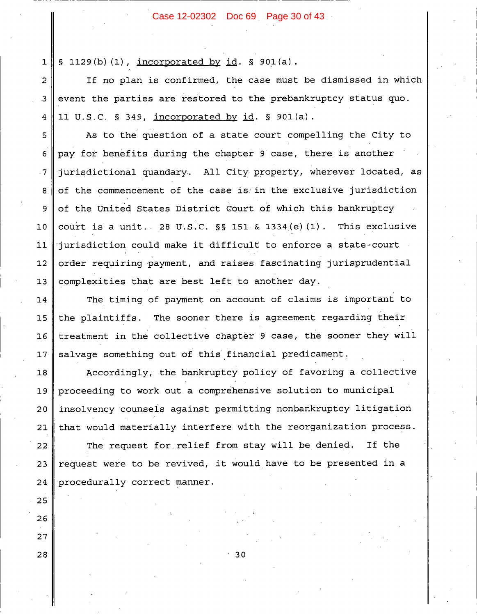# Case 12-02302 Doc 69 Page 30 of 43

 $\S$  1129(b)(1), incorporated by id.  $\S$  901(a).  $\mathbf{1}$ 

If no plan is confirmed, the case must be dismissed in which  $\overline{2}$ event the parties are restored to the prebankruptcy status quo.  $\overline{\mathbf{3}}$ 11 U.S.C. § 349, incorporated by id. § 901(a).  $\overline{\mathbf{4}}$ 

As to the question of a state court compelling the City to 5 pay for benefits during the chapter 9 case, there is another 6 jurisdictional quandary. All City property, wherever located, as  $\overline{7}$ of the commencement of the case is in the exclusive jurisdiction 8 of the United States District Court of which this bankruptcy 9 court is a unit. 28 U.S.C. SS 151 & 1334 (e) (1). This exclusive  $10$ jurisdiction could make it difficult to enforce a state-court  $11$ order requiring payment, and raises fascinating jurisprudential  $12$ complexities that are best left to another day.  $13$ 

The timing of payment on account of claims is important to  $14$ The sooner there is agreement regarding their 15 the plaintiffs.  $16$ treatment in the collective chapter 9 case, the sooner they will salvage something out of this financial predicament.  $17$ 

Accordingly, the bankruptcy policy of favoring a collective 18 proceeding to work out a comprehensive solution to municipal 19 insolvency counsels against permitting nonbankruptcy litigation  $20$ that would materially interfere with the reorganization process.  $21$ 

The request for relief from stay will be denied. If the 22 request were to be revived, it would have to be presented in a 23 procedurally correct manner. 24

25

26

27

28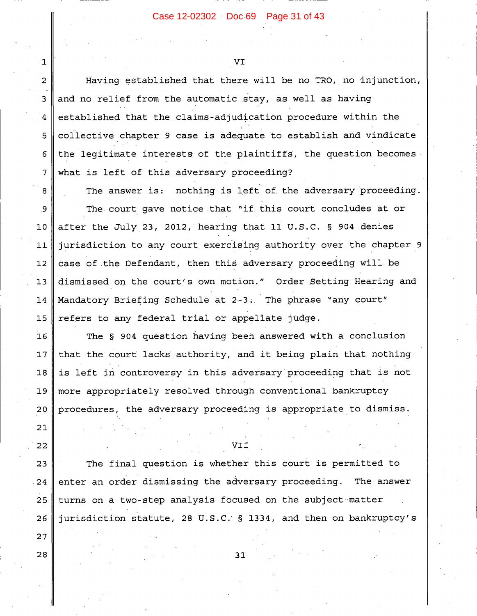VI

 $\mathbf{1}$ 

 $\mathbf{2}$ 

3

 $\overline{4}$ 

5

6

7

21

22

27

28

Having established that there will be no TRO, no injunction, and no relief from the automatic stay, as well as having established that the claims-adjudication procedure within the collective chapter 9 case is adequate to establish and vindicate the legitimate interests of the plaintiffs, the question becomes what is left of this adversary proceeding?

nothing is left of the adversary proceeding. The answer is: 8 The court gave notice that "if this court concludes at or 9 after the July 23, 2012, hearing that 11 U.S.C. § 904 denies  $10$  $11$ jurisdiction to any court exercising authority over the chapter 9 case of the Defendant, then this adversary proceeding will be  $12$  $13$ dismissed on the court's own motion." Order Setting Hearing and Mandatory Briefing Schedule at 2-3. The phrase "any court" 14 15 refers to any federal trial or appellate judge.

 $16$ The § 904 question having been answered with a conclusion that the court lacks authority, and it being plain that nothing  $17$ is left in controversy in this adversary proceeding that is not 18 19 more appropriately resolved through conventional bankruptcy procedures, the adversary proceeding is appropriate to dismiss. 20

VII

The final question is whether this court is permitted to 23 enter an order dismissing the adversary proceeding. The answer  $24$ 25 turns on a two-step analysis focused on the subject-matter jurisdiction statute, 28 U.S.C. § 1334, and then on bankruptcy's 26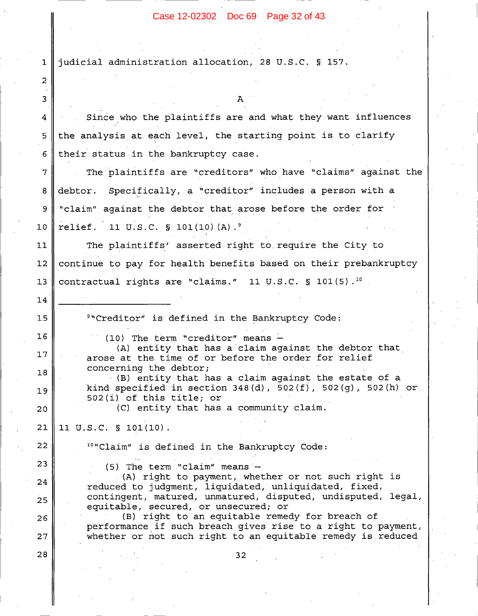Case 12-02302 Doc 69 Page 32 of 43

judicial administration allocation, 28 U.S.C. § 157.  $\mathbf{1}$  $\overline{2}$ 3 Since who the plaintiffs are and what they want influences 4 the analysis at each level, the starting point is to clarify 5 their status in the bankruptcy case. 6  $\overline{7}$ The plaintiffs are "creditors" who have "claims" against the Specifically, a "creditor" includes a person with a debtor. 8 "claim" against the debtor that arose before the order for 9 relief. 11 U.S.C. § 101(10)(A).<sup>9</sup>  $10$ The plaintiffs' asserted right to require the City to  $11$ continue to pay for health benefits based on their prebankruptcy  $12$  $13$ contractual rights are "claims." 11 U.S.C.  $\S$  101(5).<sup>10</sup> 14  $15$ <sup>9</sup>"Creditor" is defined in the Bankruptcy Code:  $16$ (10) The term "creditor" means -(A) entity that has a claim against the debtor that  $17$ arose at the time of or before the order for relief concerning the debtor; 18 (B) entity that has a claim against the estate of a kind specified in section  $348(d)$ ,  $502(f)$ ,  $502(q)$ ,  $502(h)$  or 19 502(i) of this title; or (C) entity that has a community claim.  $20$  $21$ 11 U.S.C. § 101(10). 22 <sup>10</sup>"Claim" is defined in the Bankruptcy Code: 23  $(5)$  The term "claim" means -(A) right to payment, whether or not such right is 24 reduced to judgment, liquidated, unliquidated, fixed, contingent, matured, unmatured, disputed, undisputed, legal,  $25$ equitable, secured, or unsecured; or (B) right to an equitable remedy for breach of 26 performance if such breach gives rise to a right to payment, whether or not such right to an equitable remedy is reduced 27 28  $32$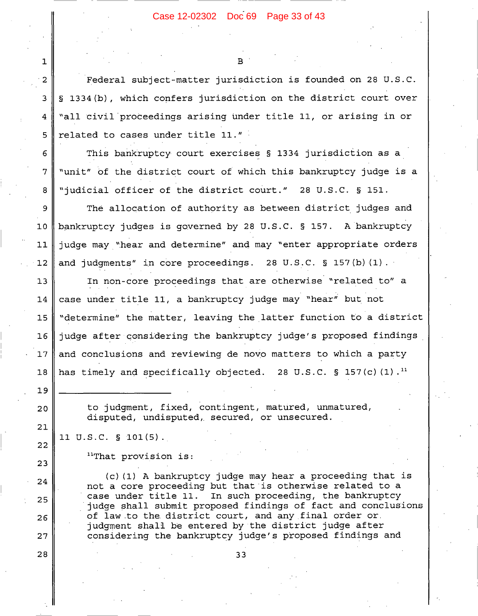R

Federal subject-matter jurisdiction is founded on 28 U.S.C. § 1334(b), which confers jurisdiction on the district court over "all civil proceedings arising under title 11, or arising in or related to cases under title 11."

This bankruptcy court exercises § 1334 jurisdiction as a "unit" of the district court of which this bankruptcy judge is a "judicial officer of the district court." 28 U.S.C. § 151.

The allocation of authority as between district judges and 9  $10$ bankruptcy judges is governed by 28 U.S.C. § 157. A bankruptcy judge may "hear and determine" and may "enter appropriate orders  $11$ and judgments" in core proceedings. 28 U.S.C. § 157(b) (1).  $12.$ 

 $13$ In non-core proceedings that are otherwise "related to" a case under title 11, a bankruptcy judge may "hear" but not 14 "determine" the matter, leaving the latter function to a district 15 judge after considering the bankruptcy judge's proposed findings  $16$  $17$ and conclusions and reviewing de novo matters to which a party has timely and specifically objected. 28 U.S.C. § 157(c)(1).<sup>11</sup> 18

> to judgment, fixed, contingent, matured, unmatured, disputed, undisputed, secured, or unsecured.

11 U.S.C. § 101(5).

 $\mathbf{1}$ 

 $\overline{2}$ 

 $\overline{3}$ 

4

5

6

 $\overline{7}$ 

8

 $19$ 

 $20$ 

 $21$ 

22

23

24

25

26

27

28

"That provision is:

(c) (1) A bankruptcy judge may hear a proceeding that is not a core proceeding but that is otherwise related to a case under title 11. In such proceeding, the bankruptcy judge shall submit proposed findings of fact and conclusions of law to the district court, and any final order or. judgment shall be entered by the district judge after considering the bankruptcy judge's proposed findings and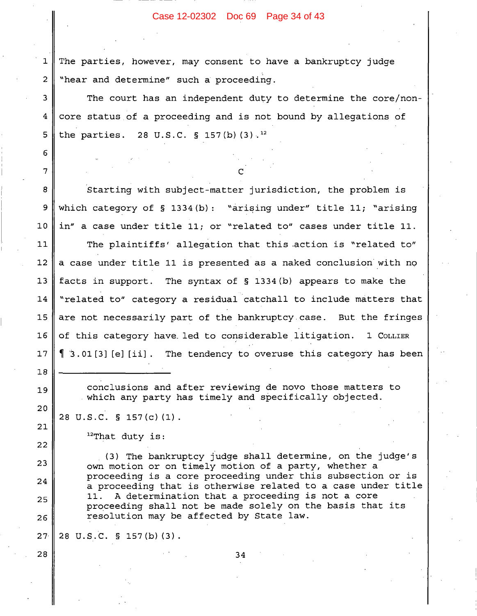#### Case 12-02302 Doc 69 Page 34 of 43

 $\mathbf{1}$ The parties, however, may consent to have a bankruptcy judge  $\overline{2}$ "hear and determine" such a proceeding.

The court has an independent duty to determine the core/noncore status of a proceeding and is not bound by allegations of the parties. 28 U.S.C. § 157(b)(3).<sup>12</sup>

Starting with subject-matter jurisdiction, the problem is which category of  $\S$  1334(b): "arising under" title 11; "arising in" a case under title 11; or "related to" cases under title 11.

 $11$ The plaintiffs' allegation that this action is "related to"  $12$ a case under title 11 is presented as a naked conclusion with no  $13$ facts in support. The syntax of  $\S$  1334(b) appears to make the 14 "related to" category a residual catchall to include matters that 15 are not necessarily part of the bankruptcy case. But the fringes 1 COLLIER  $16$ of this category have led to considerable litigation.  $\left[3.01[3][e][ii]\right]$ . The tendency to overuse this category has been  $17$ 

> conclusions and after reviewing de novo those matters to which any party has timely and specifically objected.

28 U.S.C. § 157(c)(1).

3

 $\overline{4}$ 

5

6

7

8

9

 $10$ 

 $18$ 

19

 $20$ 

21

22

23

 $2.4$ 

25

26

28

 $12$ That duty is:

(3) The bankruptcy judge shall determine, on the judge's own motion or on timely motion of a party, whether a proceeding is a core proceeding under this subsection or is a proceeding that is otherwise related to a case under title 11. A determination that a proceeding is not a core proceeding shall not be made solely on the basis that its resolution may be affected by State law.

 $27<sup>°</sup>$ 28 U.S.C. § 157(b)(3).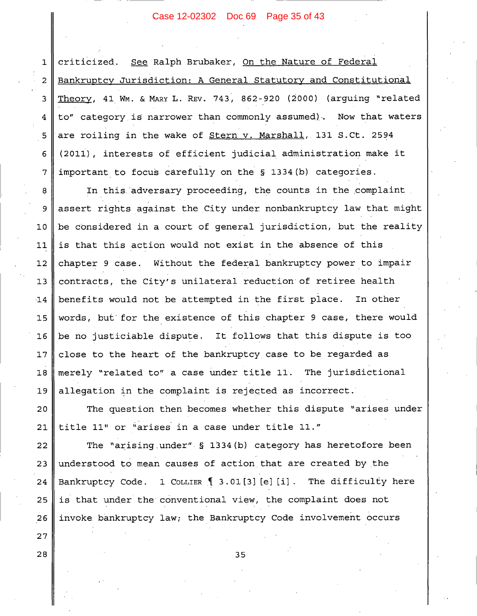# Case 12-02302 Doc 69 Page 35 of 43

criticized. See Ralph Brubaker, On the Nature of Federal  $\mathbf{1}$ Bankruptcy Jurisdiction: A General Statutory and Constitutional 2 Theory, 41 Wm. & MARY L. REV. 743, 862-920 (2000) (arguing "related 3 to" category is narrower than commonly assumed). Now that waters  $\overline{\mathbf{4}}$ are roiling in the wake of Stern v. Marshall, 131 S.Ct. 2594 5 (2011), interests of efficient judicial administration make it  $\epsilon$ important to focus carefully on the § 1334(b) categories.  $\overline{7}$ 

In this adversary proceeding, the counts in the complaint 8 assert rights against the City under nonbankruptcy law that might 9 be considered in a court of general jurisdiction, but the reality  $10$ is that this action would not exist in the absence of this  $11$ chapter 9 case. Without the federal bankruptcy power to impair  $12$ contracts, the City's unilateral reduction of retiree health  $13$ benefits would not be attempted in the first place. In other  $-14$ words, but for the existence of this chapter 9 case, there would  $15$  $16$ be no justiciable dispute. It follows that this dispute is too close to the heart of the bankruptcy case to be regarded as  $17$ merely "related to" a case under title 11. The jurisdictional  $18$ allegation in the complaint is rejected as incorrect. 19

 $20$ The question then becomes whether this dispute "arises under title 11" or "arises in a case under title 11." 21

The "arising under" § 1334(b) category has heretofore been 22 understood to mean causes of action that are created by the 23 Bankruptcy Code. 1 COLLIER 1 3.01[3] [e] [i]. The difficulty here 24  $25$ is that under the conventional view, the complaint does not 26 invoke bankruptcy law; the Bankruptcy Code involvement occurs

 $27$ 28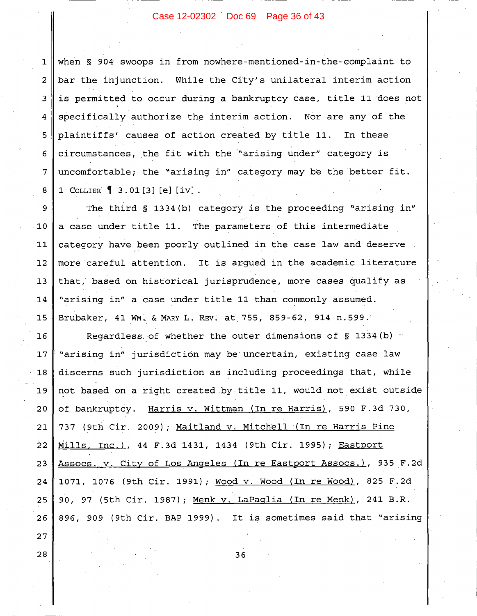# Case 12-02302 Doc 69 Page 36 of 43

when § 904 swoops in from nowhere-mentioned-in-the-complaint to  $\mathbf{1}$ bar the injunction. While the City's unilateral interim action  $\overline{2}$ is permitted to occur during a bankruptcy case, title 11 does not 3 specifically authorize the interim action. Nor are any of the 4 plaintiffs' causes of action created by title 11. 5 In these circumstances, the fit with the "arising under" category is 6  $\overline{7}$ uncomfortable; the "arising in" category may be the better fit. 1 COLLIER 1 3.01[3] [e] [iv]. 8

The third § 1334 (b) category is the proceeding "arising in" 9  $10$ a case under title 11. The parameters of this intermediate category have been poorly outlined in the case law and deserve  $11$ more careful attention. It is arqued in the academic literature  $12$ that, based on historical jurisprudence, more cases qualify as  $13$ "arising in" a case under title 11 than commonly assumed. 14 15 Brubaker, 41 WM. & MARY L. REV. at 755, 859-62, 914 n.599.

 $16$ Regardless of whether the outer dimensions of § 1334(b) "arising in" jurisdiction may be uncertain, existing case law  $17$  $18$ discerns such jurisdiction as including proceedings that, while not based on a right created by title 11, would not exist outside 19 of bankruptcy. Harris v. Wittman (In re Harris), 590 F.3d 730, 20 737 (9th Cir. 2009); Maitland v. Mitchell (In re Harris Pine 21 Mills, Inc.), 44 F.3d 1431, 1434 (9th Cir. 1995); Eastport  $22$ Assocs. v. City of Los Angeles (In re Eastport Assocs.), 935 F.2d  $23$ 24 1071, 1076 (9th Cir. 1991); Wood v. Wood (In re Wood), 825 F.2d 90, 97 (5th Cir. 1987); Menk v. LaPaglia (In re Menk), 241 B.R. 25 896, 909 (9th Cir. BAP 1999). It is sometimes said that "arising 26

36

 $27$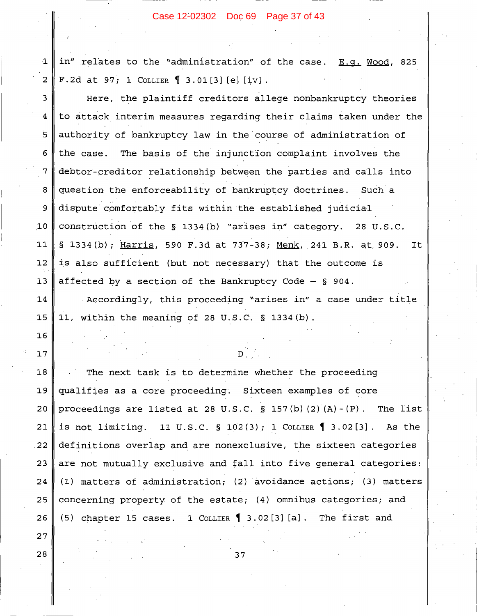#### Case 12-02302 Doc 69 Page 37 of 43

in" relates to the "administration" of the case. E.q. Wood, 825 F.2d at 97; 1 COLLIER  $\left[ 3.01[3][e][iv] \right]$ .

3 Here, the plaintiff creditors allege nonbankruptcy theories  $\bf 4$ to attack interim measures regarding their claims taken under the  $\overline{5}$ authority of bankruptcy law in the course of administration of 6 the case. The basis of the injunction complaint involves the 7 debtor-creditor relationship between the parties and calls into 8 question the enforceability of bankruptcy doctrines. Such a dispute comfortably fits within the established judicial 9  $10$ construction of the § 1334(b) "arises in" category. 28 U.S.C. § 1334(b); Harris, 590 F.3d at 737-38; Menk, 241 B.R. at 909.  $11$ It  $12$ is also sufficient (but not necessary) that the outcome is affected by a section of the Bankruptcy Code  $-$  \$ 904.  $13$ 

14 Accordingly, this proceeding "arises in" a case under title  $15$ 11, within the meaning of 28 U.S.C. § 1334 (b).

The next task is to determine whether the proceeding  $18$ 19 qualifies as a core proceeding. Sixteen examples of core  $20$ proceedings are listed at 28 U.S.C. § 157(b)  $(2)$   $(A) - (P)$ . The list 21 is not limiting. 11 U.S.C. § 102(3); 1 COLLIER  $\P$  3.02[3]. As the 22 definitions overlap and are nonexclusive, the sixteen categories 23 are not mutually exclusive and fall into five general categories: 24 (1) matters of administration; (2) avoidance actions; (3) matters 25 concerning property of the estate; (4) omnibus categories; and (5) chapter 15 cases. 1 COLLIER 1 3.02[3] [a]. The first and 26

 $27$ 28

 $16$ 

 $17$ 

 $\mathbf 1$ 

 $\overline{a}$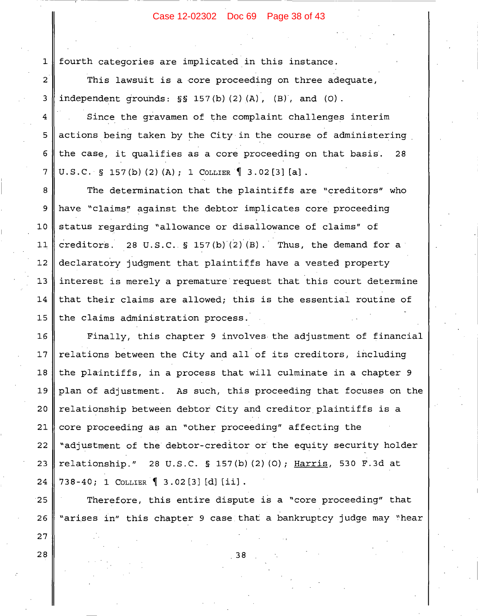# Case 12-02302 Doc 69 Page 38 of 43

 $\mathbf{1}$ fourth categories are implicated in this instance.

This lawsuit is a core proceeding on three adequate, independent grounds:  $\S$ § 157(b)(2)(A), (B), and (O).

Since the gravamen of the complaint challenges interim 4 actions being taken by the City in the course of administering 5 the case, it qualifies as a core proceeding on that basis. 6 28 7 U.S.C. § 157(b)(2)(A); 1 COLLIER  $\left[ \begin{array}{cc} 3.02 & 3 \end{array} \right]$  [a].

The determination that the plaintiffs are "creditors" who 8 have "claims" against the debtor implicates core proceeding 9  $10$ status regarding "allowance or disallowance of claims" of creditors. 28 U.S.C. § 157(b)(2)(B). Thus, the demand for a  $11$  $12$ declaratory judgment that plaintiffs have a vested property interest is merely a premature request that this court determine  $13$ 14 that their claims are allowed; this is the essential routine of the claims administration process. 15

16 Finally, this chapter 9 involves the adjustment of financial relations between the City and all of its creditors, including  $17$ the plaintiffs, in a process that will culminate in a chapter 9  $18$ 19 plan of adjustment. As such, this proceeding that focuses on the 20 relationship between debtor City and creditor plaintiffs is a core proceeding as an "other proceeding" affecting the 21 "adjustment of the debtor-creditor or the equity security holder 22 23 relationship." 28 U.S.C. § 157(b)(2)(0); Harris, 530 F.3d at 24 738-40; 1 COLLIER 1 3.02[3] [d] [ii].

25 Therefore, this entire dispute is a "core proceeding" that "arises in" this chapter 9 case that a bankruptcy judge may "hear 26

38

28

27

 $\overline{2}$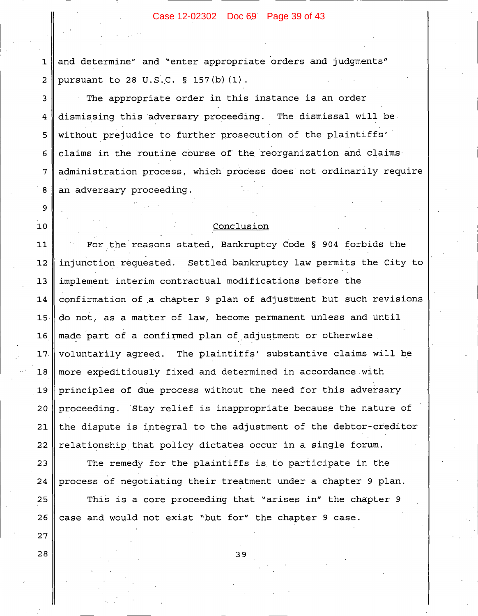#### Case 12-02302 Doc 69 Page 39 of 43

and determine" and "enter appropriate orders and judgments"  $\mathbf{1}$ pursuant to 28 U.S.C. § 157(b)(1).  $\overline{a}$ 

The appropriate order in this instance is an order 3 dismissing this adversary proceeding. The dismissal will be 4 without prejudice to further prosecution of the plaintiffs' 5 claims in the routine course of the reorganization and claims  $\epsilon$ administration process, which process does not ordinarily require  $7\phantom{.}$ 8 an adversary proceeding.

#### Conclusion

9

 $10$ 

27

28

For the reasons stated, Bankruptcy Code § 904 forbids the 11  $12$ injunction requested. Settled bankruptcy law permits the City to implement interim contractual modifications before the  $13$ confirmation of a chapter 9 plan of adjustment but such revisions  $14$ do not, as a matter of law, become permanent unless and until 15  $16$ made part of a confirmed plan of adjustment or otherwise voluntarily agreed. The plaintiffs' substantive claims will be  $17.$ more expeditiously fixed and determined in accordance with  $18$ principles of due process without the need for this adversary  $19$ 20 proceeding. Stay relief is inappropriate because the nature of the dispute is integral to the adjustment of the debtor-creditor 21 relationship that policy dictates occur in a single forum. 22

The remedy for the plaintiffs is to participate in the 23 process of negotiating their treatment under a chapter 9 plan. 24 This is a core proceeding that "arises in" the chapter 9 25 26 case and would not exist "but for" the chapter 9 case.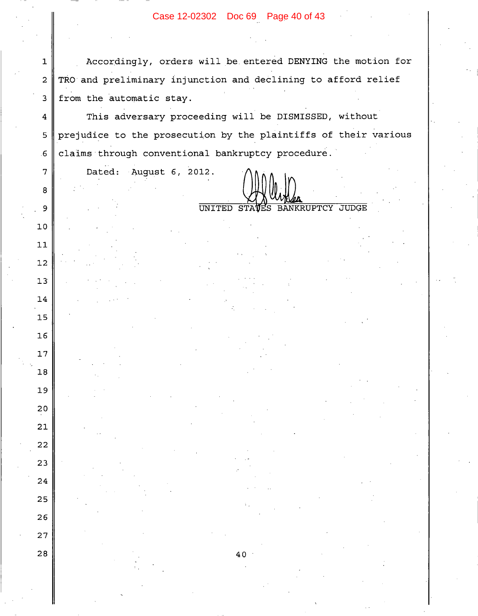# Case 12-02302 Doc 69 Page 40 of 43

Accordingly, orders will be entered DENYING the motion for TRO and preliminary injunction and declining to afford relief from the automatic stay.

This adversary proceeding will be DISMISSED, without  $\overline{4}$ prejudice to the prosecution by the plaintiffs of their various 5 claims through conventional bankruptcy procedure.  $6 \overline{6}$ 

40

Dated: August 6, 2012.

 $\mathbf 1$ 

 $\overline{2}$ 

 $\overline{3}$ 

 $\overline{7}$ 

8

9

 $10$ 

 $11$ 

 $12$ 

 $13$ 

14

15

16

 $17$ 

 $18$ 

19

20

21

22

23

24

25

26

27

28

UNITED STAVES **BANKRUPTCY JUDGE**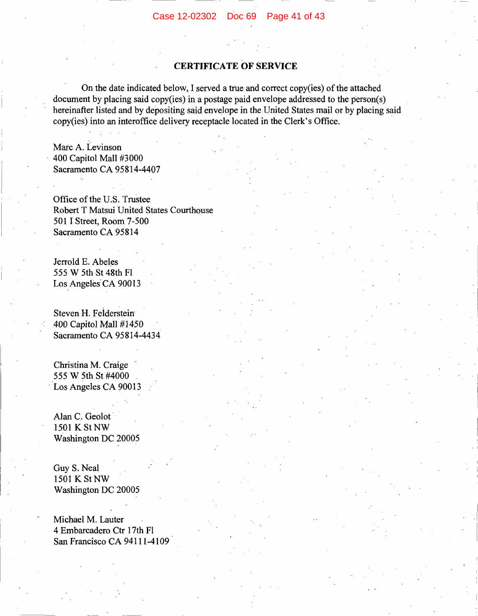# **CERTIFICATE OF SERVICE**

On the date indicated below, I served a true and correct copy(ies) of the attached document by placing said copy(ies) in a postage paid envelope addressed to the person(s) hereinafter listed and by depositing said envelope in the United States mail or by placing said copy(ies) into an interoffice delivery receptacle located in the Clerk's Office.

Marc A. Levinson 400 Capitol Mall #3000 Sacramento CA 95814-4407

Office of the U.S. Trustee Robert T Matsui United States Courthouse 501 I Street, Room 7-500 Sacramento CA 95814

Jerrold E. Abeles 555 W 5th St 48th Fl Los Angeles CA 90013

Steven H. Felderstein 400 Capitol Mall #1450 Sacramento CA 95814-4434

Christina M. Craige 555 W 5th St #4000 Los Angeles CA 90013

Alan C. Geolot 1501 K St NW Washington DC 20005

Guy S. Neal 1501 K St NW Washington DC 20005

Michael M. Lauter 4 Embarcadero Ctr 17th Fl San Francisco CA 94111-4109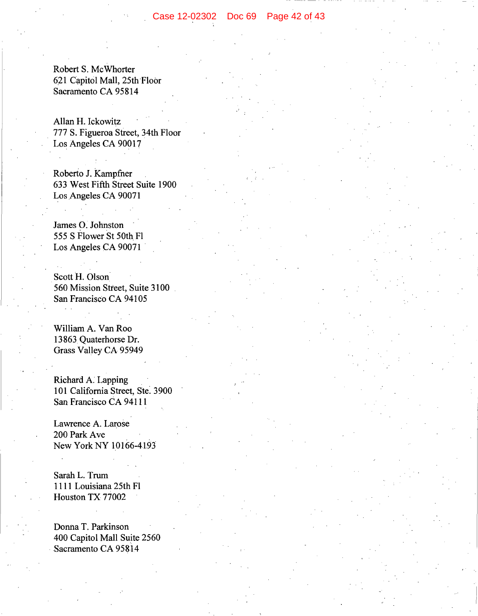Robert S. McWhorter 621 Capitol Mall, 25th Floor Sacramento CA 95814

Allan H. Ickowitz 777 S. Figueroa Street, 34th Floor Los Angeles CA 90017

Roberto J. Kampfner 633 West Fifth Street Suite 1900 Los Angeles CA 90071

James O. Johnston 555 S Flower St 50th Fl Los Angeles CA 90071

Scott H. Olson 560 Mission Street, Suite 3100 San Francisco CA 94105

William A. Van Roo 13863 Quaterhorse Dr. Grass Valley CA 95949

Richard A. Lapping 101 California Street, Ste. 3900 San Francisco CA 94111

Lawrence A. Larose 200 Park Ave New York NY 10166-4193

Sarah L. Trum 1111 Louisiana 25th Fl Houston TX 77002

Donna T. Parkinson 400 Capitol Mall Suite 2560 Sacramento CA 95814